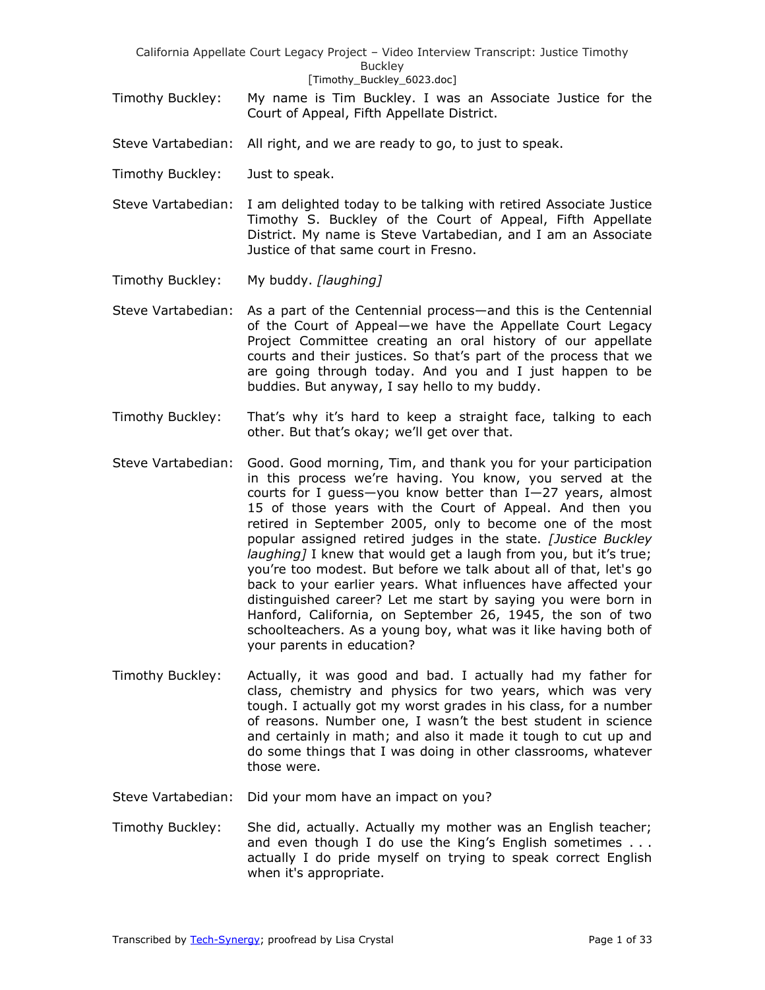### [Timothy\_Buckley\_6023.doc]

- Timothy Buckley: My name is Tim Buckley. I was an Associate Justice for the Court of Appeal, Fifth Appellate District.
- Steve Vartabedian: All right, and we are ready to go, to just to speak.
- Timothy Buckley: Just to speak.
- Steve Vartabedian: I am delighted today to be talking with retired Associate Justice Timothy S. Buckley of the Court of Appeal, Fifth Appellate District. My name is Steve Vartabedian, and I am an Associate Justice of that same court in Fresno.
- Timothy Buckley: My buddy. *[laughing]*
- Steve Vartabedian: As a part of the Centennial process—and this is the Centennial of the Court of Appeal—we have the Appellate Court Legacy Project Committee creating an oral history of our appellate courts and their justices. So that's part of the process that we are going through today. And you and I just happen to be buddies. But anyway, I say hello to my buddy.
- Timothy Buckley: That's why it's hard to keep a straight face, talking to each other. But that's okay; we'll get over that.
- Steve Vartabedian: Good. Good morning, Tim, and thank you for your participation in this process we're having. You know, you served at the courts for I guess—you know better than I—27 years, almost 15 of those years with the Court of Appeal. And then you retired in September 2005, only to become one of the most popular assigned retired judges in the state. *[Justice Buckley laughing]* I knew that would get a laugh from you, but it's true; you're too modest. But before we talk about all of that, let's go back to your earlier years. What influences have affected your distinguished career? Let me start by saying you were born in Hanford, California, on September 26, 1945, the son of two schoolteachers. As a young boy, what was it like having both of your parents in education?
- Timothy Buckley: Actually, it was good and bad. I actually had my father for class, chemistry and physics for two years, which was very tough. I actually got my worst grades in his class, for a number of reasons. Number one, I wasn't the best student in science and certainly in math; and also it made it tough to cut up and do some things that I was doing in other classrooms, whatever those were.
- Steve Vartabedian: Did your mom have an impact on you?
- Timothy Buckley: She did, actually. Actually my mother was an English teacher; and even though I do use the King's English sometimes . . . actually I do pride myself on trying to speak correct English when it's appropriate.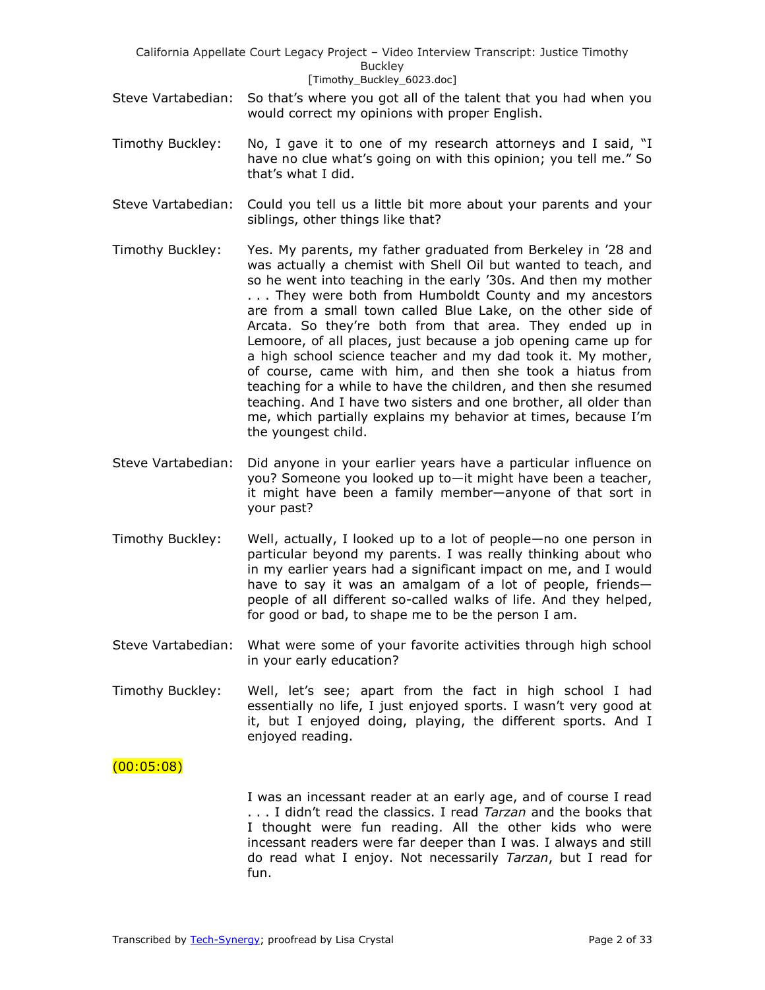### [Timothy\_Buckley\_6023.doc]

- Steve Vartabedian: So that's where you got all of the talent that you had when you would correct my opinions with proper English.
- Timothy Buckley: No, I gave it to one of my research attorneys and I said, "I have no clue what's going on with this opinion; you tell me." So that's what I did.
- Steve Vartabedian: Could you tell us a little bit more about your parents and your siblings, other things like that?
- Timothy Buckley: Yes. My parents, my father graduated from Berkeley in '28 and was actually a chemist with Shell Oil but wanted to teach, and so he went into teaching in the early '30s. And then my mother . . . They were both from Humboldt County and my ancestors are from a small town called Blue Lake, on the other side of Arcata. So they're both from that area. They ended up in Lemoore, of all places, just because a job opening came up for a high school science teacher and my dad took it. My mother, of course, came with him, and then she took a hiatus from teaching for a while to have the children, and then she resumed teaching. And I have two sisters and one brother, all older than me, which partially explains my behavior at times, because I'm the youngest child.
- Steve Vartabedian: Did anyone in your earlier years have a particular influence on you? Someone you looked up to—it might have been a teacher, it might have been a family member—anyone of that sort in your past?
- Timothy Buckley: Well, actually, I looked up to a lot of people—no one person in particular beyond my parents. I was really thinking about who in my earlier years had a significant impact on me, and I would have to say it was an amalgam of a lot of people, friends people of all different so-called walks of life. And they helped, for good or bad, to shape me to be the person I am.
- Steve Vartabedian: What were some of your favorite activities through high school in your early education?
- Timothy Buckley: Well, let's see; apart from the fact in high school I had essentially no life, I just enjoyed sports. I wasn't very good at it, but I enjoyed doing, playing, the different sports. And I enjoyed reading.

## (00:05:08)

I was an incessant reader at an early age, and of course I read . . . I didn't read the classics. I read *Tarzan* and the books that I thought were fun reading. All the other kids who were incessant readers were far deeper than I was. I always and still do read what I enjoy. Not necessarily *Tarzan*, but I read for fun.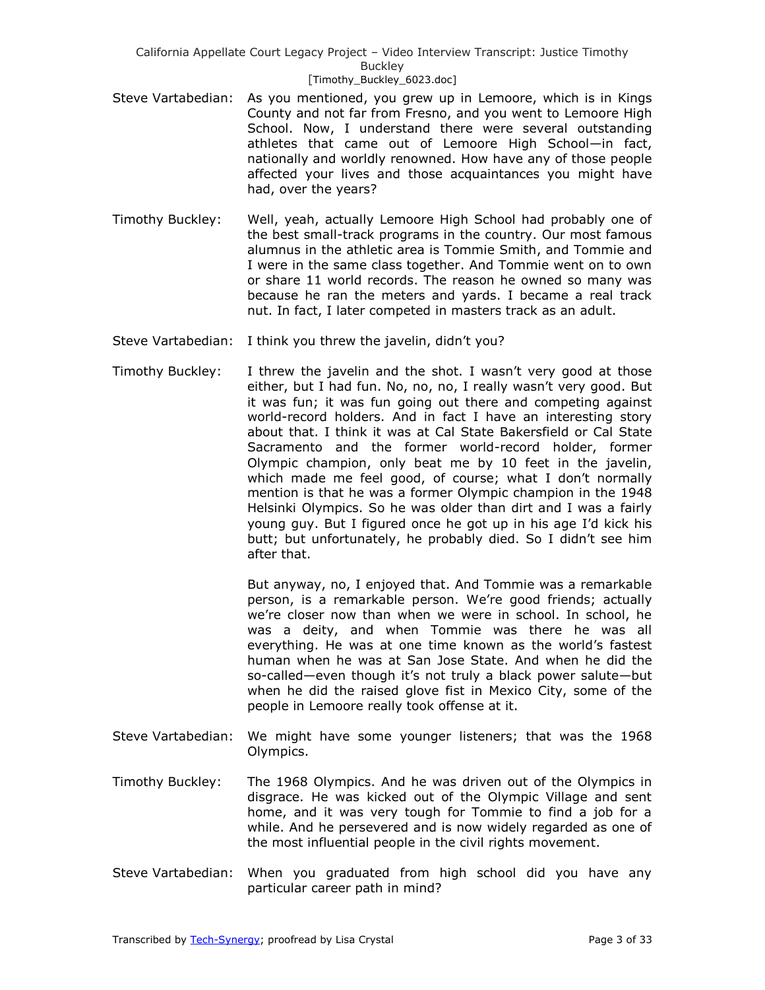- Steve Vartabedian: As you mentioned, you grew up in Lemoore, which is in Kings County and not far from Fresno, and you went to Lemoore High School. Now, I understand there were several outstanding athletes that came out of Lemoore High School—in fact, nationally and worldly renowned. How have any of those people affected your lives and those acquaintances you might have had, over the years?
- Timothy Buckley: Well, yeah, actually Lemoore High School had probably one of the best small-track programs in the country. Our most famous alumnus in the athletic area is Tommie Smith, and Tommie and I were in the same class together. And Tommie went on to own or share 11 world records. The reason he owned so many was because he ran the meters and yards. I became a real track nut. In fact, I later competed in masters track as an adult.
- Steve Vartabedian: I think you threw the javelin, didn't you?
- Timothy Buckley: I threw the javelin and the shot. I wasn't very good at those either, but I had fun. No, no, no, I really wasn't very good. But it was fun; it was fun going out there and competing against world-record holders. And in fact I have an interesting story about that. I think it was at Cal State Bakersfield or Cal State Sacramento and the former world-record holder, former Olympic champion, only beat me by 10 feet in the javelin, which made me feel good, of course; what I don't normally mention is that he was a former Olympic champion in the 1948 Helsinki Olympics. So he was older than dirt and I was a fairly young guy. But I figured once he got up in his age I'd kick his butt; but unfortunately, he probably died. So I didn't see him after that.

But anyway, no, I enjoyed that. And Tommie was a remarkable person, is a remarkable person. We're good friends; actually we're closer now than when we were in school. In school, he was a deity, and when Tommie was there he was all everything. He was at one time known as the world's fastest human when he was at San Jose State. And when he did the so-called—even though it's not truly a black power salute—but when he did the raised glove fist in Mexico City, some of the people in Lemoore really took offense at it.

- Steve Vartabedian: We might have some younger listeners; that was the 1968 Olympics.
- Timothy Buckley: The 1968 Olympics. And he was driven out of the Olympics in disgrace. He was kicked out of the Olympic Village and sent home, and it was very tough for Tommie to find a job for a while. And he persevered and is now widely regarded as one of the most influential people in the civil rights movement.
- Steve Vartabedian: When you graduated from high school did you have any particular career path in mind?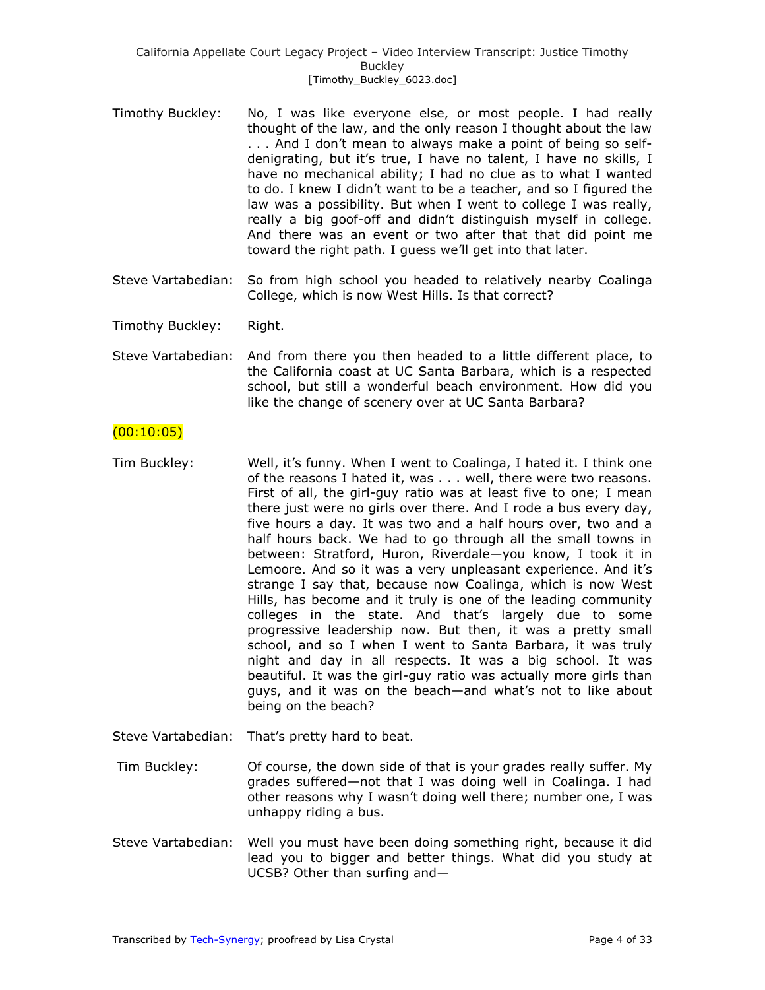- Timothy Buckley: No, I was like everyone else, or most people. I had really thought of the law, and the only reason I thought about the law . . . And I don't mean to always make a point of being so selfdenigrating, but it's true, I have no talent, I have no skills, I have no mechanical ability; I had no clue as to what I wanted to do. I knew I didn't want to be a teacher, and so I figured the law was a possibility. But when I went to college I was really, really a big goof-off and didn't distinguish myself in college. And there was an event or two after that that did point me toward the right path. I guess we'll get into that later.
- Steve Vartabedian: So from high school you headed to relatively nearby Coalinga College, which is now West Hills. Is that correct?

Timothy Buckley: Right.

Steve Vartabedian: And from there you then headed to a little different place, to the California coast at UC Santa Barbara, which is a respected school, but still a wonderful beach environment. How did you like the change of scenery over at UC Santa Barbara?

## $(00:10:05)$

- Tim Buckley: Well, it's funny. When I went to Coalinga, I hated it. I think one of the reasons I hated it, was . . . well, there were two reasons. First of all, the girl-guy ratio was at least five to one; I mean there just were no girls over there. And I rode a bus every day, five hours a day. It was two and a half hours over, two and a half hours back. We had to go through all the small towns in between: Stratford, Huron, Riverdale—you know, I took it in Lemoore. And so it was a very unpleasant experience. And it's strange I say that, because now Coalinga, which is now West Hills, has become and it truly is one of the leading community colleges in the state. And that's largely due to some progressive leadership now. But then, it was a pretty small school, and so I when I went to Santa Barbara, it was truly night and day in all respects. It was a big school. It was beautiful. It was the girl-guy ratio was actually more girls than guys, and it was on the beach—and what's not to like about being on the beach?
- Steve Vartabedian: That's pretty hard to beat.
- Tim Buckley: Of course, the down side of that is your grades really suffer. My grades suffered—not that I was doing well in Coalinga. I had other reasons why I wasn't doing well there; number one, I was unhappy riding a bus.
- Steve Vartabedian: Well you must have been doing something right, because it did lead you to bigger and better things. What did you study at UCSB? Other than surfing and—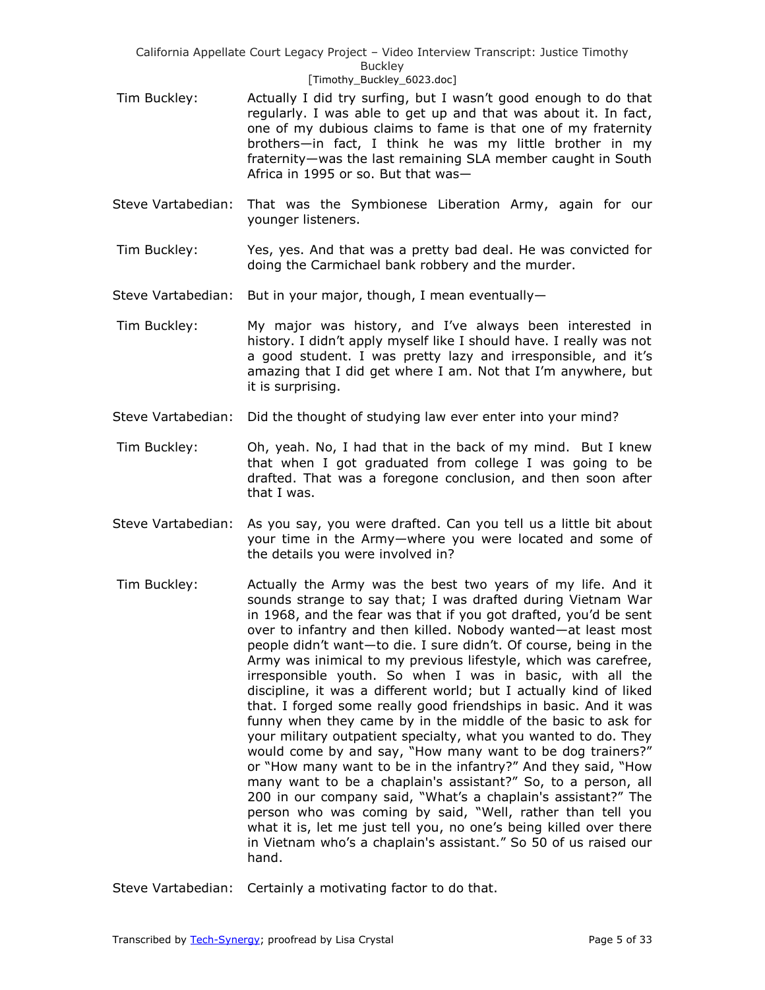- Tim Buckley: Actually I did try surfing, but I wasn't good enough to do that regularly. I was able to get up and that was about it. In fact, one of my dubious claims to fame is that one of my fraternity brothers—in fact, I think he was my little brother in my fraternity—was the last remaining SLA member caught in South Africa in 1995 or so. But that was—
- Steve Vartabedian: That was the Symbionese Liberation Army, again for our younger listeners.
- Tim Buckley: Yes, yes. And that was a pretty bad deal. He was convicted for doing the Carmichael bank robbery and the murder.
- Steve Vartabedian: But in your major, though, I mean eventually—
- Tim Buckley: My major was history, and I've always been interested in history. I didn't apply myself like I should have. I really was not a good student. I was pretty lazy and irresponsible, and it's amazing that I did get where I am. Not that I'm anywhere, but it is surprising.
- Steve Vartabedian: Did the thought of studying law ever enter into your mind?
- Tim Buckley: Oh, yeah. No, I had that in the back of my mind. But I knew that when I got graduated from college I was going to be drafted. That was a foregone conclusion, and then soon after that I was.
- Steve Vartabedian: As you say, you were drafted. Can you tell us a little bit about your time in the Army—where you were located and some of the details you were involved in?
- Tim Buckley: Actually the Army was the best two years of my life. And it sounds strange to say that; I was drafted during Vietnam War in 1968, and the fear was that if you got drafted, you'd be sent over to infantry and then killed. Nobody wanted—at least most people didn't want—to die. I sure didn't. Of course, being in the Army was inimical to my previous lifestyle, which was carefree, irresponsible youth. So when I was in basic, with all the discipline, it was a different world; but I actually kind of liked that. I forged some really good friendships in basic. And it was funny when they came by in the middle of the basic to ask for your military outpatient specialty, what you wanted to do. They would come by and say, "How many want to be dog trainers?" or "How many want to be in the infantry?" And they said, "How many want to be a chaplain's assistant?" So, to a person, all 200 in our company said, "What's a chaplain's assistant?" The person who was coming by said, "Well, rather than tell you what it is, let me just tell you, no one's being killed over there in Vietnam who's a chaplain's assistant." So 50 of us raised our hand.

Steve Vartabedian: Certainly a motivating factor to do that.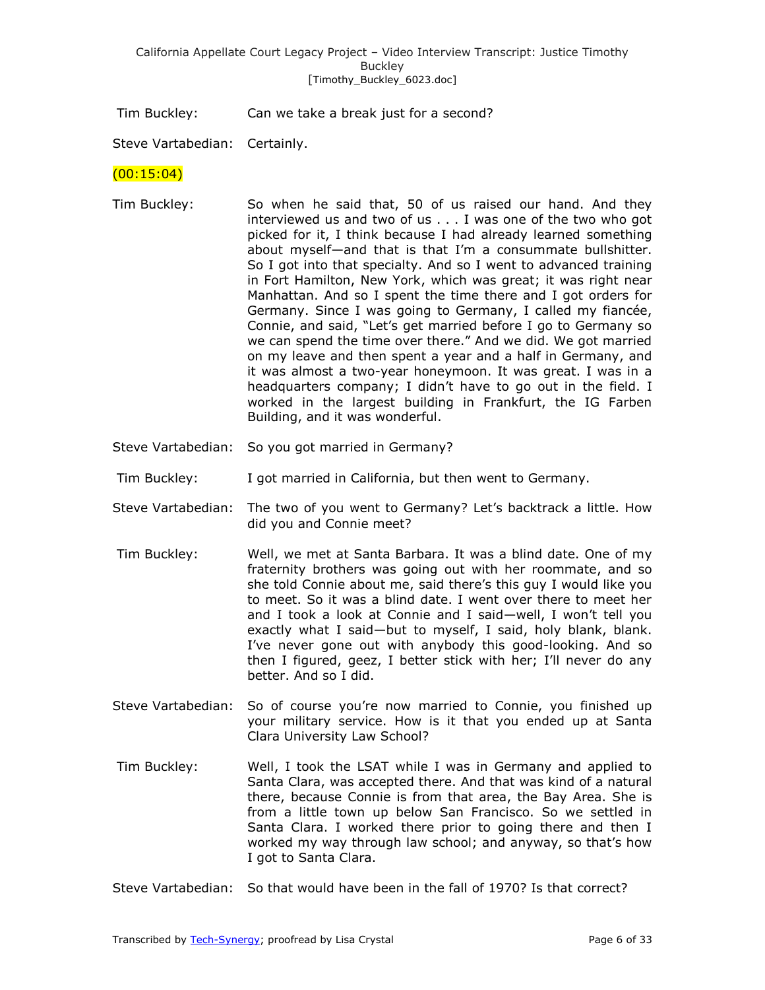Tim Buckley: Can we take a break just for a second?

Steve Vartabedian: Certainly.

## $(00:15:04)$

- Tim Buckley: So when he said that, 50 of us raised our hand. And they interviewed us and two of us . . . I was one of the two who got picked for it, I think because I had already learned something about myself—and that is that I'm a consummate bullshitter. So I got into that specialty. And so I went to advanced training in Fort Hamilton, New York, which was great; it was right near Manhattan. And so I spent the time there and I got orders for Germany. Since I was going to Germany, I called my fiancée, Connie, and said, "Let's get married before I go to Germany so we can spend the time over there." And we did. We got married on my leave and then spent a year and a half in Germany, and it was almost a two-year honeymoon. It was great. I was in a headquarters company; I didn't have to go out in the field. I worked in the largest building in Frankfurt, the IG Farben Building, and it was wonderful.
- Steve Vartabedian: So you got married in Germany?
- Tim Buckley: I got married in California, but then went to Germany.
- Steve Vartabedian: The two of you went to Germany? Let's backtrack a little. How did you and Connie meet?
- Tim Buckley: Well, we met at Santa Barbara. It was a blind date. One of my fraternity brothers was going out with her roommate, and so she told Connie about me, said there's this guy I would like you to meet. So it was a blind date. I went over there to meet her and I took a look at Connie and I said—well, I won't tell you exactly what I said—but to myself, I said, holy blank, blank. I've never gone out with anybody this good-looking. And so then I figured, geez, I better stick with her; I'll never do any better. And so I did.
- Steve Vartabedian: So of course you're now married to Connie, you finished up your military service. How is it that you ended up at Santa Clara University Law School?
- Tim Buckley: Well, I took the LSAT while I was in Germany and applied to Santa Clara, was accepted there. And that was kind of a natural there, because Connie is from that area, the Bay Area. She is from a little town up below San Francisco. So we settled in Santa Clara. I worked there prior to going there and then I worked my way through law school; and anyway, so that's how I got to Santa Clara.
- Steve Vartabedian: So that would have been in the fall of 1970? Is that correct?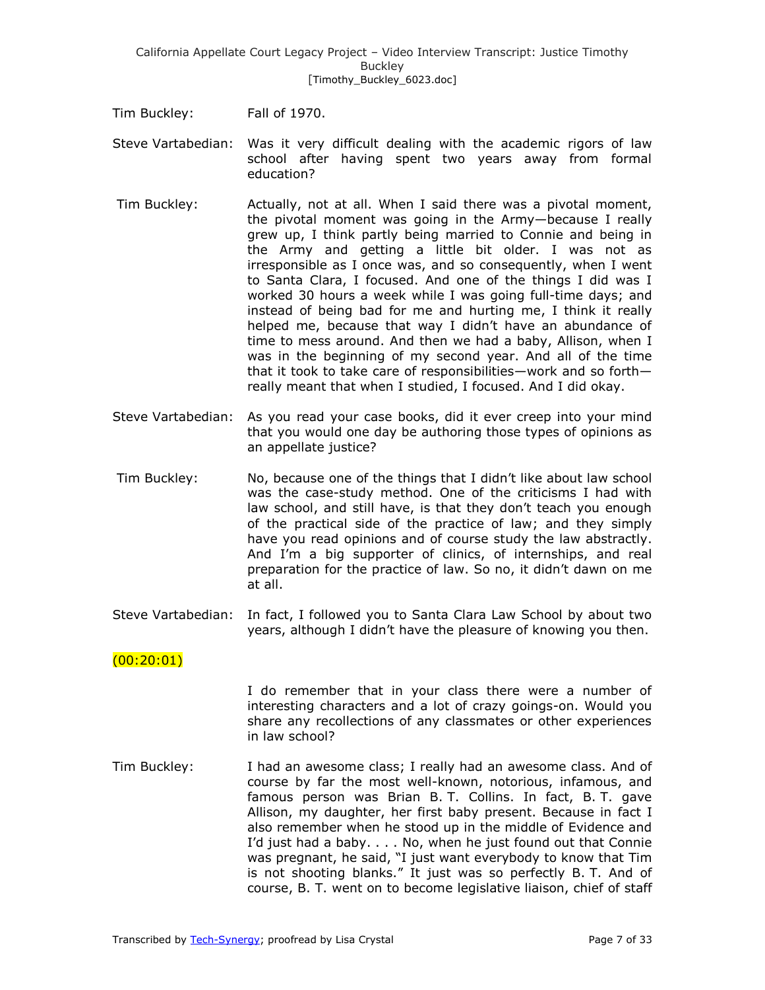Tim Buckley: Fall of 1970.

- Steve Vartabedian: Was it very difficult dealing with the academic rigors of law school after having spent two years away from formal education?
- Tim Buckley: Actually, not at all. When I said there was a pivotal moment, the pivotal moment was going in the Army—because I really grew up, I think partly being married to Connie and being in the Army and getting a little bit older. I was not as irresponsible as I once was, and so consequently, when I went to Santa Clara, I focused. And one of the things I did was I worked 30 hours a week while I was going full-time days; and instead of being bad for me and hurting me, I think it really helped me, because that way I didn't have an abundance of time to mess around. And then we had a baby, Allison, when I was in the beginning of my second year. And all of the time that it took to take care of responsibilities—work and so forth really meant that when I studied, I focused. And I did okay.
- Steve Vartabedian: As you read your case books, did it ever creep into your mind that you would one day be authoring those types of opinions as an appellate justice?
- Tim Buckley: No, because one of the things that I didn't like about law school was the case-study method. One of the criticisms I had with law school, and still have, is that they don't teach you enough of the practical side of the practice of law; and they simply have you read opinions and of course study the law abstractly. And I'm a big supporter of clinics, of internships, and real preparation for the practice of law. So no, it didn't dawn on me at all.
- Steve Vartabedian: In fact, I followed you to Santa Clara Law School by about two years, although I didn't have the pleasure of knowing you then.

## $(00:20:01)$

I do remember that in your class there were a number of interesting characters and a lot of crazy goings-on. Would you share any recollections of any classmates or other experiences in law school?

Tim Buckley: I had an awesome class; I really had an awesome class. And of course by far the most well-known, notorious, infamous, and famous person was Brian B. T. Collins. In fact, B. T. gave Allison, my daughter, her first baby present. Because in fact I also remember when he stood up in the middle of Evidence and I'd just had a baby. . . . No, when he just found out that Connie was pregnant, he said, "I just want everybody to know that Tim is not shooting blanks." It just was so perfectly B. T. And of course, B. T. went on to become legislative liaison, chief of staff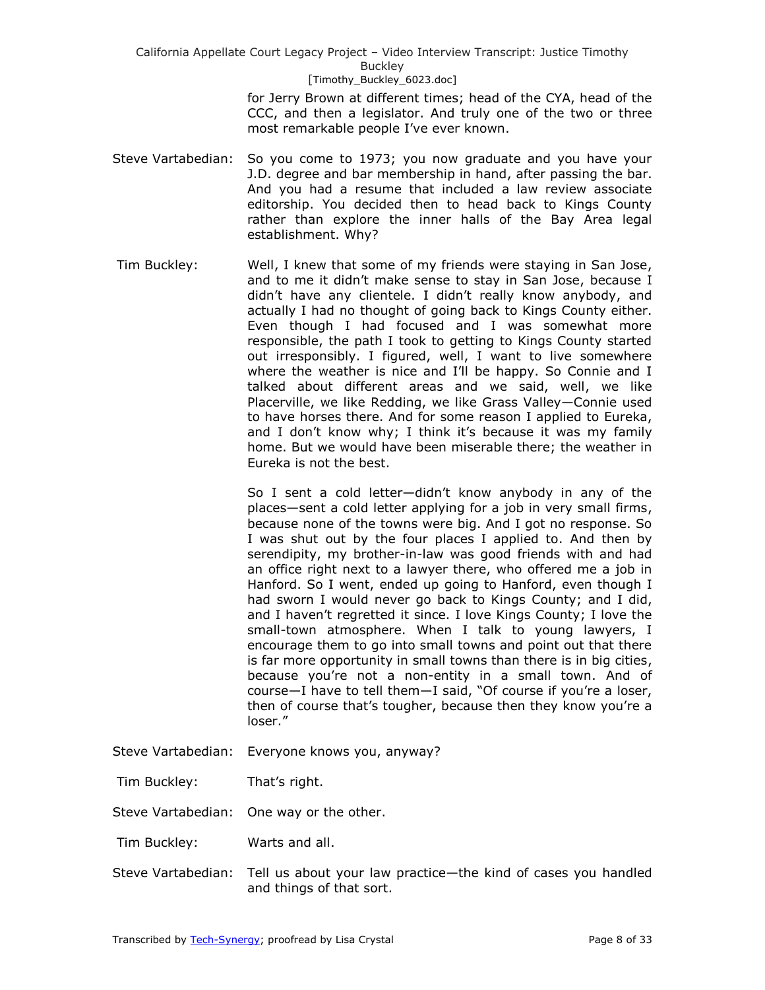> for Jerry Brown at different times; head of the CYA, head of the CCC, and then a legislator. And truly one of the two or three most remarkable people I've ever known.

- Steve Vartabedian: So you come to 1973; you now graduate and you have your J.D. degree and bar membership in hand, after passing the bar. And you had a resume that included a law review associate editorship. You decided then to head back to Kings County rather than explore the inner halls of the Bay Area legal establishment. Why?
- Tim Buckley: Well, I knew that some of my friends were staying in San Jose, and to me it didn't make sense to stay in San Jose, because I didn't have any clientele. I didn't really know anybody, and actually I had no thought of going back to Kings County either. Even though I had focused and I was somewhat more responsible, the path I took to getting to Kings County started out irresponsibly. I figured, well, I want to live somewhere where the weather is nice and I'll be happy. So Connie and I talked about different areas and we said, well, we like Placerville, we like Redding, we like Grass Valley—Connie used to have horses there. And for some reason I applied to Eureka, and I don't know why; I think it's because it was my family home. But we would have been miserable there; the weather in Eureka is not the best.

So I sent a cold letter—didn't know anybody in any of the places—sent a cold letter applying for a job in very small firms, because none of the towns were big. And I got no response. So I was shut out by the four places I applied to. And then by serendipity, my brother-in-law was good friends with and had an office right next to a lawyer there, who offered me a job in Hanford. So I went, ended up going to Hanford, even though I had sworn I would never go back to Kings County; and I did, and I haven't regretted it since. I love Kings County; I love the small-town atmosphere. When I talk to young lawyers, I encourage them to go into small towns and point out that there is far more opportunity in small towns than there is in big cities, because you're not a non-entity in a small town. And of course—I have to tell them—I said, "Of course if you're a loser, then of course that's tougher, because then they know you're a loser."

- Steve Vartabedian: Everyone knows you, anyway?
- Tim Buckley: That's right.

Steve Vartabedian: One way or the other.

Tim Buckley: Warts and all.

Steve Vartabedian: Tell us about your law practice—the kind of cases you handled and things of that sort.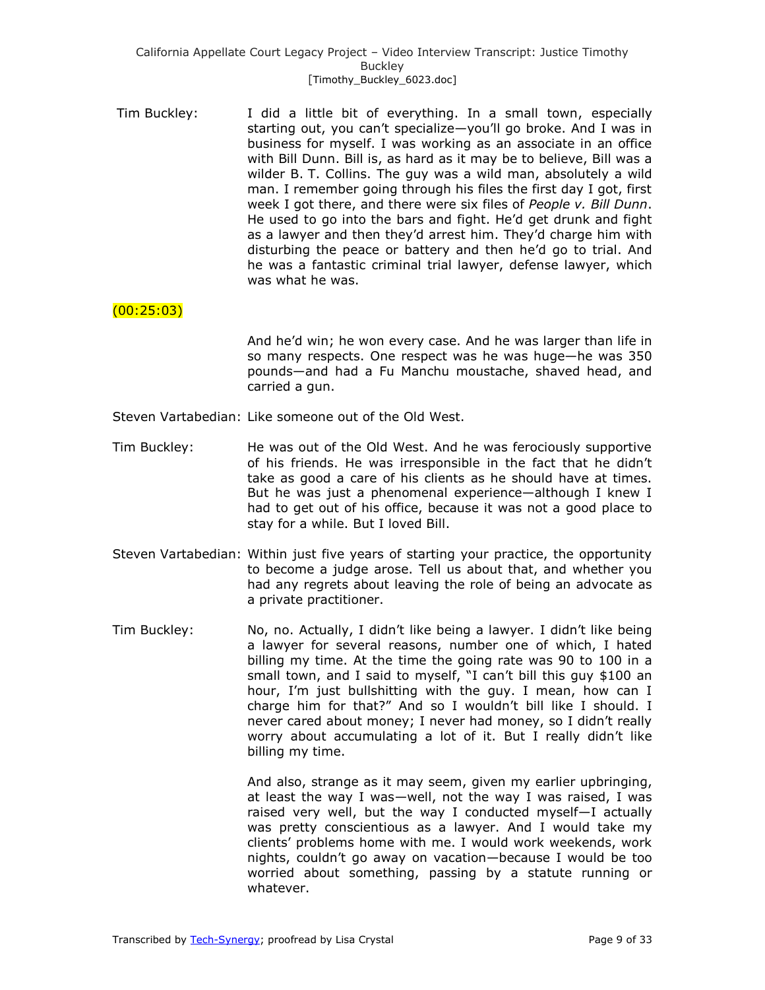Tim Buckley: I did a little bit of everything. In a small town, especially starting out, you can't specialize—you'll go broke. And I was in business for myself. I was working as an associate in an office with Bill Dunn. Bill is, as hard as it may be to believe, Bill was a wilder B. T. Collins. The guy was a wild man, absolutely a wild man. I remember going through his files the first day I got, first week I got there, and there were six files of *People v. Bill Dunn*. He used to go into the bars and fight. He'd get drunk and fight as a lawyer and then they'd arrest him. They'd charge him with disturbing the peace or battery and then he'd go to trial. And he was a fantastic criminal trial lawyer, defense lawyer, which was what he was.

# $(00:25:03)$

And he'd win; he won every case. And he was larger than life in so many respects. One respect was he was huge—he was 350 pounds—and had a Fu Manchu moustache, shaved head, and carried a gun.

- Steven Vartabedian: Like someone out of the Old West.
- Tim Buckley: He was out of the Old West. And he was ferociously supportive of his friends. He was irresponsible in the fact that he didn't take as good a care of his clients as he should have at times. But he was just a phenomenal experience—although I knew I had to get out of his office, because it was not a good place to stay for a while. But I loved Bill.
- Steven Vartabedian: Within just five years of starting your practice, the opportunity to become a judge arose. Tell us about that, and whether you had any regrets about leaving the role of being an advocate as a private practitioner.
- Tim Buckley: No, no. Actually, I didn't like being a lawyer. I didn't like being a lawyer for several reasons, number one of which, I hated billing my time. At the time the going rate was 90 to 100 in a small town, and I said to myself, "I can't bill this guy \$100 an hour, I'm just bullshitting with the guy. I mean, how can I charge him for that?" And so I wouldn't bill like I should. I never cared about money; I never had money, so I didn't really worry about accumulating a lot of it. But I really didn't like billing my time.

And also, strange as it may seem, given my earlier upbringing, at least the way I was—well, not the way I was raised, I was raised very well, but the way I conducted myself—I actually was pretty conscientious as a lawyer. And I would take my clients' problems home with me. I would work weekends, work nights, couldn't go away on vacation—because I would be too worried about something, passing by a statute running or whatever.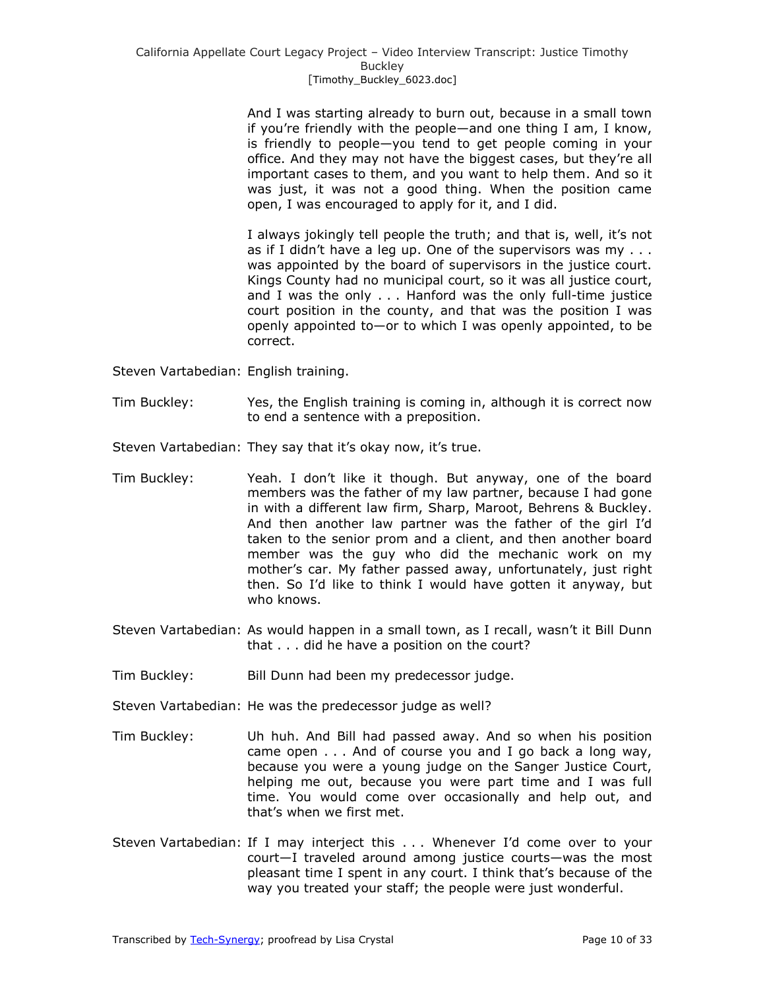And I was starting already to burn out, because in a small town if you're friendly with the people—and one thing I am, I know, is friendly to people—you tend to get people coming in your office. And they may not have the biggest cases, but they're all important cases to them, and you want to help them. And so it was just, it was not a good thing. When the position came open, I was encouraged to apply for it, and I did.

I always jokingly tell people the truth; and that is, well, it's not as if I didn't have a leg up. One of the supervisors was my . . . was appointed by the board of supervisors in the justice court. Kings County had no municipal court, so it was all justice court, and I was the only . . . Hanford was the only full-time justice court position in the county, and that was the position I was openly appointed to—or to which I was openly appointed, to be correct.

Steven Vartabedian: English training.

- Tim Buckley: Yes, the English training is coming in, although it is correct now to end a sentence with a preposition.
- Steven Vartabedian: They say that it's okay now, it's true.
- Tim Buckley: Yeah. I don't like it though. But anyway, one of the board members was the father of my law partner, because I had gone in with a different law firm, Sharp, Maroot, Behrens & Buckley. And then another law partner was the father of the girl I'd taken to the senior prom and a client, and then another board member was the guy who did the mechanic work on my mother's car. My father passed away, unfortunately, just right then. So I'd like to think I would have gotten it anyway, but who knows.
- Steven Vartabedian: As would happen in a small town, as I recall, wasn't it Bill Dunn that . . . did he have a position on the court?
- Tim Buckley: Bill Dunn had been my predecessor judge.

Steven Vartabedian: He was the predecessor judge as well?

- Tim Buckley: Uh huh. And Bill had passed away. And so when his position came open . . . And of course you and I go back a long way, because you were a young judge on the Sanger Justice Court, helping me out, because you were part time and I was full time. You would come over occasionally and help out, and that's when we first met.
- Steven Vartabedian: If I may interject this . . . Whenever I'd come over to your court—I traveled around among justice courts—was the most pleasant time I spent in any court. I think that's because of the way you treated your staff; the people were just wonderful.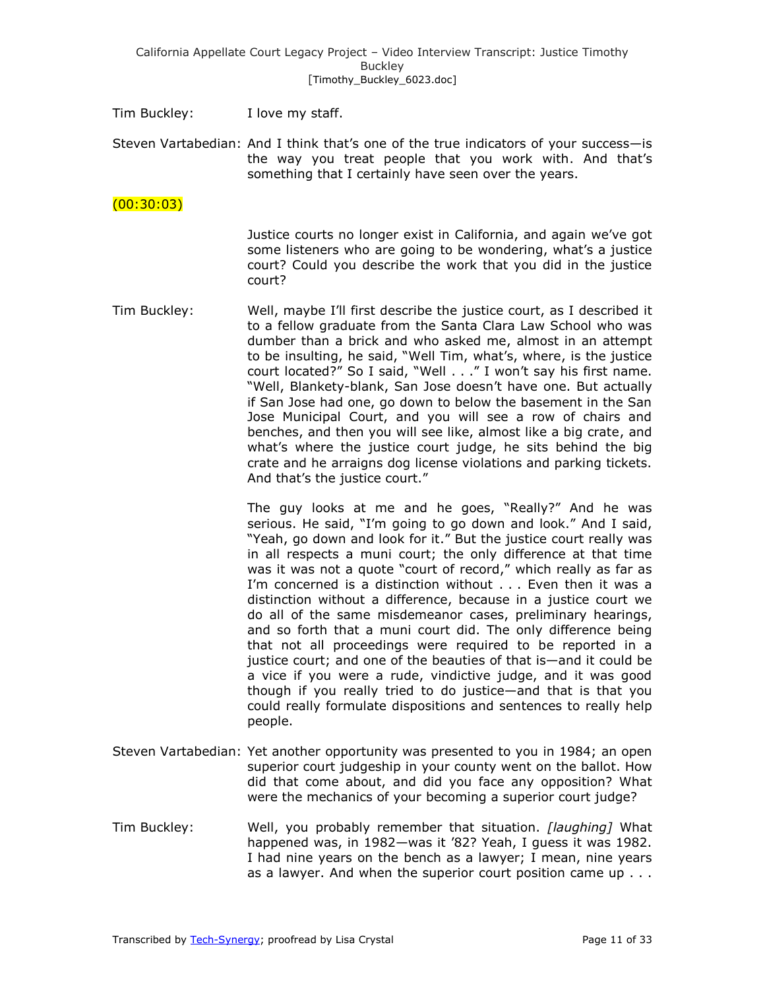- Tim Buckley: I love my staff.
- Steven Vartabedian: And I think that's one of the true indicators of your success—is the way you treat people that you work with. And that's something that I certainly have seen over the years.

## $(00:30:03)$

Justice courts no longer exist in California, and again we've got some listeners who are going to be wondering, what's a justice court? Could you describe the work that you did in the justice court?

Tim Buckley: Well, maybe I'll first describe the justice court, as I described it to a fellow graduate from the Santa Clara Law School who was dumber than a brick and who asked me, almost in an attempt to be insulting, he said, "Well Tim, what's, where, is the justice court located?" So I said, "Well . . ." I won't say his first name. "Well, Blankety-blank, San Jose doesn't have one. But actually if San Jose had one, go down to below the basement in the San Jose Municipal Court, and you will see a row of chairs and benches, and then you will see like, almost like a big crate, and what's where the justice court judge, he sits behind the big crate and he arraigns dog license violations and parking tickets. And that's the justice court."

> The guy looks at me and he goes, "Really?" And he was serious. He said, "I'm going to go down and look." And I said, "Yeah, go down and look for it." But the justice court really was in all respects a muni court; the only difference at that time was it was not a quote "court of record," which really as far as I'm concerned is a distinction without . . . Even then it was a distinction without a difference, because in a justice court we do all of the same misdemeanor cases, preliminary hearings, and so forth that a muni court did. The only difference being that not all proceedings were required to be reported in a justice court; and one of the beauties of that is—and it could be a vice if you were a rude, vindictive judge, and it was good though if you really tried to do justice—and that is that you could really formulate dispositions and sentences to really help people.

- Steven Vartabedian: Yet another opportunity was presented to you in 1984; an open superior court judgeship in your county went on the ballot. How did that come about, and did you face any opposition? What were the mechanics of your becoming a superior court judge?
- Tim Buckley: Well, you probably remember that situation. *[laughing]* What happened was, in 1982—was it '82? Yeah, I guess it was 1982. I had nine years on the bench as a lawyer; I mean, nine years as a lawyer. And when the superior court position came up . . .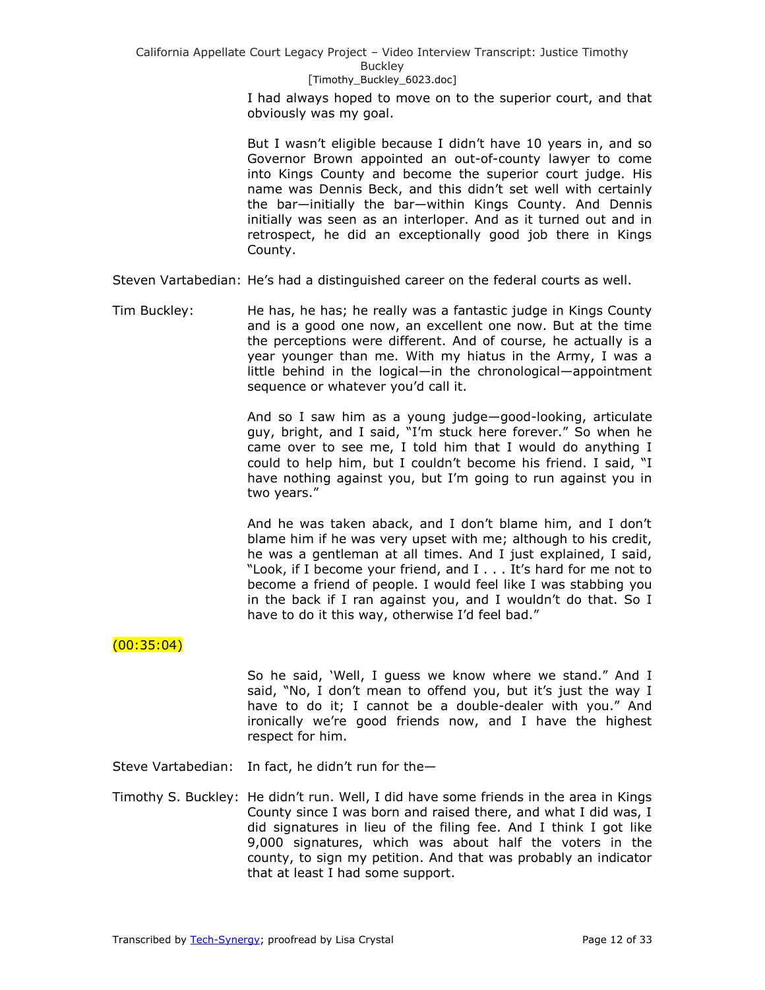I had always hoped to move on to the superior court, and that obviously was my goal.

But I wasn't eligible because I didn't have 10 years in, and so Governor Brown appointed an out-of-county lawyer to come into Kings County and become the superior court judge. His name was Dennis Beck, and this didn't set well with certainly the bar—initially the bar—within Kings County. And Dennis initially was seen as an interloper. And as it turned out and in retrospect, he did an exceptionally good job there in Kings County.

Steven Vartabedian: He's had a distinguished career on the federal courts as well.

Tim Buckley: He has, he has; he really was a fantastic judge in Kings County and is a good one now, an excellent one now. But at the time the perceptions were different. And of course, he actually is a year younger than me. With my hiatus in the Army, I was a little behind in the logical—in the chronological—appointment sequence or whatever you'd call it.

> And so I saw him as a young judge—good-looking, articulate guy, bright, and I said, "I'm stuck here forever." So when he came over to see me, I told him that I would do anything I could to help him, but I couldn't become his friend. I said, "I have nothing against you, but I'm going to run against you in two years."

> And he was taken aback, and I don't blame him, and I don't blame him if he was very upset with me; although to his credit, he was a gentleman at all times. And I just explained, I said, "Look, if I become your friend, and I . . . It's hard for me not to become a friend of people. I would feel like I was stabbing you in the back if I ran against you, and I wouldn't do that. So I have to do it this way, otherwise I'd feel bad."

## $(00:35:04)$

So he said, 'Well, I guess we know where we stand." And I said, "No, I don't mean to offend you, but it's just the way I have to do it; I cannot be a double-dealer with you." And ironically we're good friends now, and I have the highest respect for him.

Steve Vartabedian: In fact, he didn't run for the—

Timothy S. Buckley: He didn't run. Well, I did have some friends in the area in Kings County since I was born and raised there, and what I did was, I did signatures in lieu of the filing fee. And I think I got like 9,000 signatures, which was about half the voters in the county, to sign my petition. And that was probably an indicator that at least I had some support.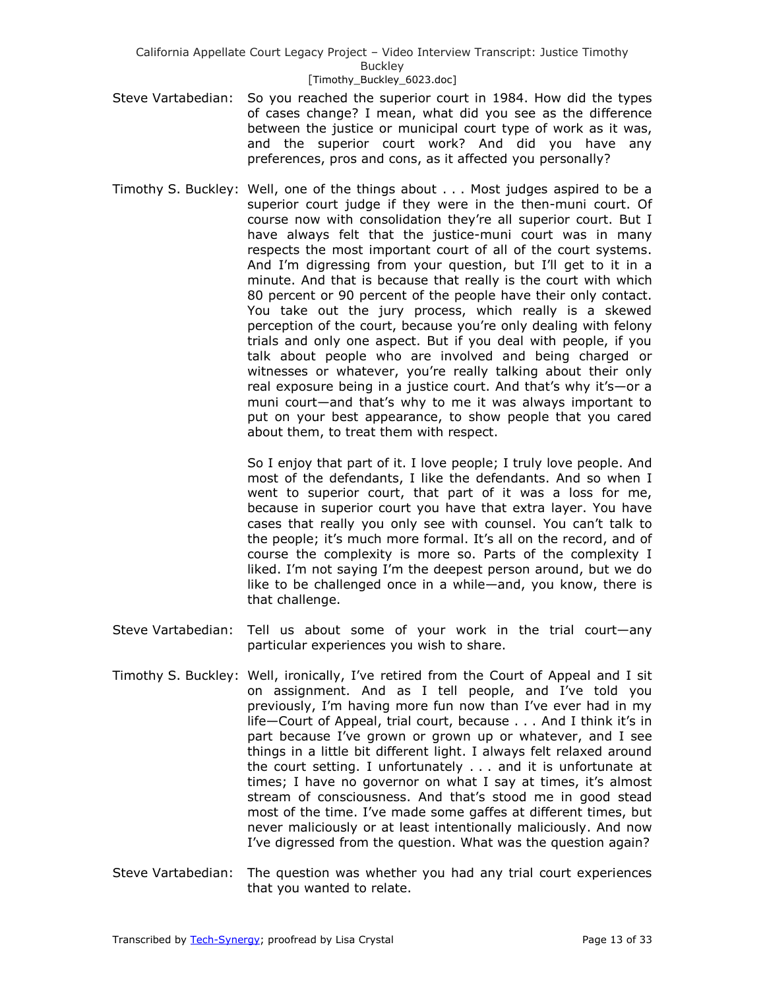- Steve Vartabedian: So you reached the superior court in 1984. How did the types of cases change? I mean, what did you see as the difference between the justice or municipal court type of work as it was, and the superior court work? And did you have any preferences, pros and cons, as it affected you personally?
- Timothy S. Buckley: Well, one of the things about . . . Most judges aspired to be a superior court judge if they were in the then-muni court. Of course now with consolidation they're all superior court. But I have always felt that the justice-muni court was in many respects the most important court of all of the court systems. And I'm digressing from your question, but I'll get to it in a minute. And that is because that really is the court with which 80 percent or 90 percent of the people have their only contact. You take out the jury process, which really is a skewed perception of the court, because you're only dealing with felony trials and only one aspect. But if you deal with people, if you talk about people who are involved and being charged or witnesses or whatever, you're really talking about their only real exposure being in a justice court. And that's why it's—or a muni court—and that's why to me it was always important to put on your best appearance, to show people that you cared about them, to treat them with respect.

So I enjoy that part of it. I love people; I truly love people. And most of the defendants, I like the defendants. And so when I went to superior court, that part of it was a loss for me, because in superior court you have that extra layer. You have cases that really you only see with counsel. You can't talk to the people; it's much more formal. It's all on the record, and of course the complexity is more so. Parts of the complexity I liked. I'm not saying I'm the deepest person around, but we do like to be challenged once in a while—and, you know, there is that challenge.

- Steve Vartabedian: Tell us about some of your work in the trial court—any particular experiences you wish to share.
- Timothy S. Buckley: Well, ironically, I've retired from the Court of Appeal and I sit on assignment. And as I tell people, and I've told you previously, I'm having more fun now than I've ever had in my life—Court of Appeal, trial court, because . . . And I think it's in part because I've grown or grown up or whatever, and I see things in a little bit different light. I always felt relaxed around the court setting. I unfortunately . . . and it is unfortunate at times; I have no governor on what I say at times, it's almost stream of consciousness. And that's stood me in good stead most of the time. I've made some gaffes at different times, but never maliciously or at least intentionally maliciously. And now I've digressed from the question. What was the question again?
- Steve Vartabedian: The question was whether you had any trial court experiences that you wanted to relate.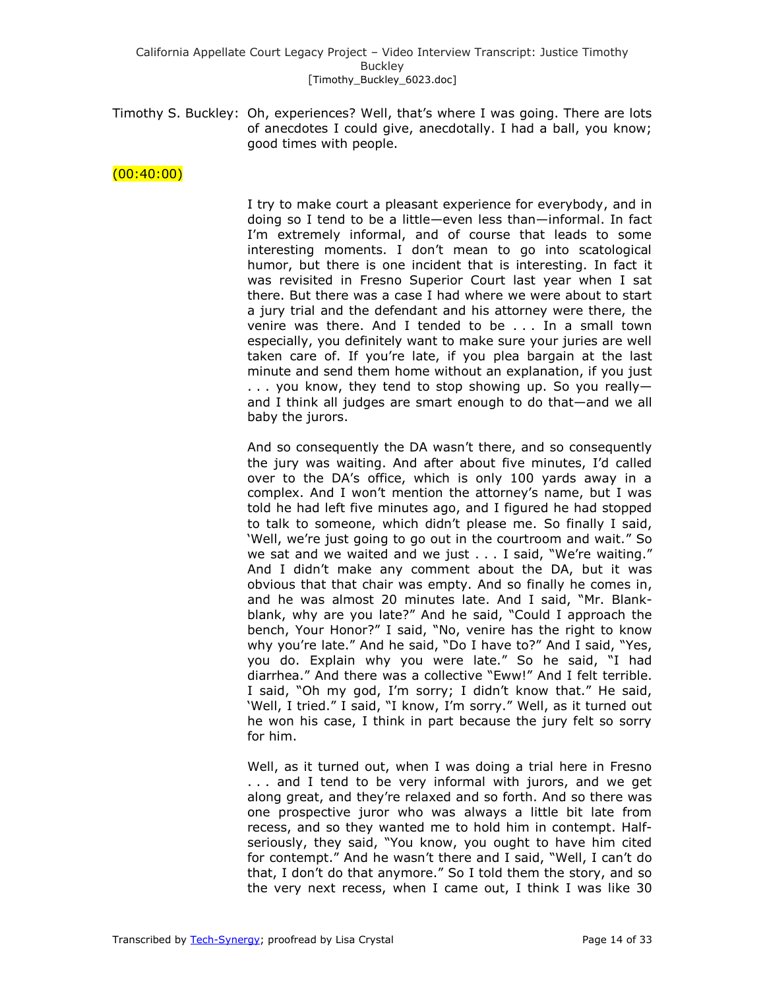Timothy S. Buckley: Oh, experiences? Well, that's where I was going. There are lots of anecdotes I could give, anecdotally. I had a ball, you know; good times with people.

## $(00:40:00)$

I try to make court a pleasant experience for everybody, and in doing so I tend to be a little—even less than—informal. In fact I'm extremely informal, and of course that leads to some interesting moments. I don't mean to go into scatological humor, but there is one incident that is interesting. In fact it was revisited in Fresno Superior Court last year when I sat there. But there was a case I had where we were about to start a jury trial and the defendant and his attorney were there, the venire was there. And I tended to be . . . In a small town especially, you definitely want to make sure your juries are well taken care of. If you're late, if you plea bargain at the last minute and send them home without an explanation, if you just . . . you know, they tend to stop showing up. So you really and I think all judges are smart enough to do that—and we all baby the jurors.

And so consequently the DA wasn't there, and so consequently the jury was waiting. And after about five minutes, I'd called over to the DA's office, which is only 100 yards away in a complex. And I won't mention the attorney's name, but I was told he had left five minutes ago, and I figured he had stopped to talk to someone, which didn't please me. So finally I said, 'Well, we're just going to go out in the courtroom and wait." So we sat and we waited and we just . . . I said, "We're waiting." And I didn't make any comment about the DA, but it was obvious that that chair was empty. And so finally he comes in, and he was almost 20 minutes late. And I said, "Mr. Blankblank, why are you late?" And he said, "Could I approach the bench, Your Honor?" I said, "No, venire has the right to know why you're late." And he said, "Do I have to?" And I said, "Yes, you do. Explain why you were late." So he said, "I had diarrhea." And there was a collective "Eww!" And I felt terrible. I said, "Oh my god, I'm sorry; I didn't know that." He said, 'Well, I tried." I said, "I know, I'm sorry." Well, as it turned out he won his case, I think in part because the jury felt so sorry for him.

Well, as it turned out, when I was doing a trial here in Fresno . . . and I tend to be very informal with jurors, and we get along great, and they're relaxed and so forth. And so there was one prospective juror who was always a little bit late from recess, and so they wanted me to hold him in contempt. Halfseriously, they said, "You know, you ought to have him cited for contempt." And he wasn't there and I said, "Well, I can't do that, I don't do that anymore." So I told them the story, and so the very next recess, when I came out, I think I was like 30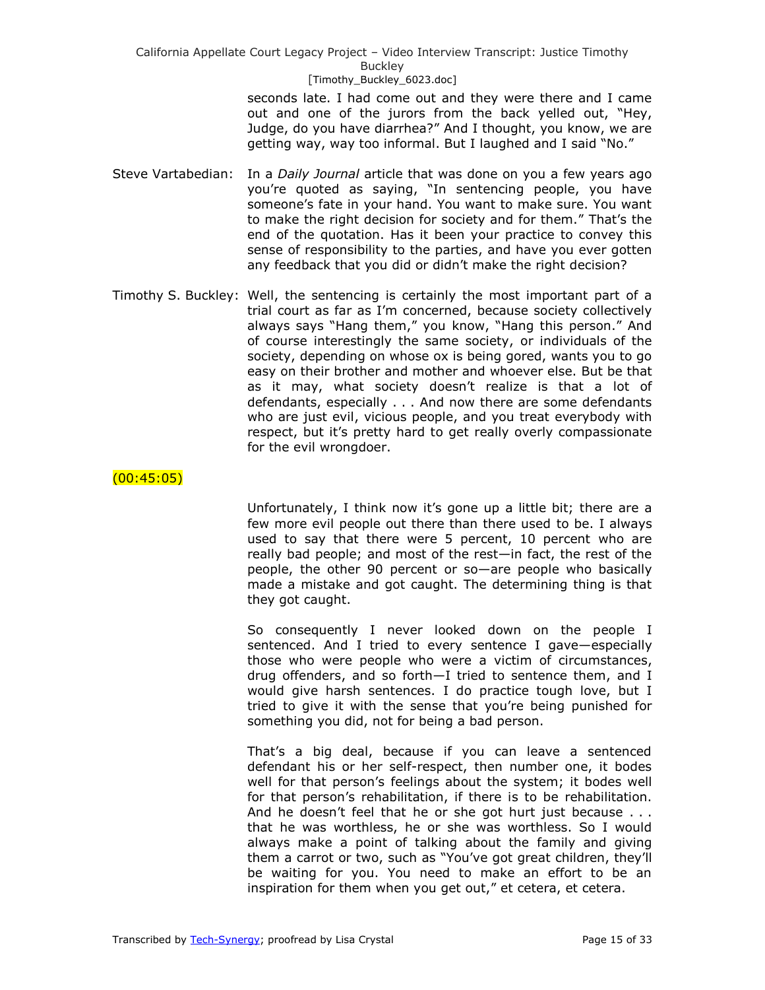> seconds late. I had come out and they were there and I came out and one of the jurors from the back yelled out, "Hey, Judge, do you have diarrhea?" And I thought, you know, we are getting way, way too informal. But I laughed and I said "No."

- Steve Vartabedian: In a *Daily Journal* article that was done on you a few years ago you're quoted as saying, "In sentencing people, you have someone's fate in your hand. You want to make sure. You want to make the right decision for society and for them." That's the end of the quotation. Has it been your practice to convey this sense of responsibility to the parties, and have you ever gotten any feedback that you did or didn't make the right decision?
- Timothy S. Buckley: Well, the sentencing is certainly the most important part of a trial court as far as I'm concerned, because society collectively always says "Hang them," you know, "Hang this person." And of course interestingly the same society, or individuals of the society, depending on whose ox is being gored, wants you to go easy on their brother and mother and whoever else. But be that as it may, what society doesn't realize is that a lot of defendants, especially . . . And now there are some defendants who are just evil, vicious people, and you treat everybody with respect, but it's pretty hard to get really overly compassionate for the evil wrongdoer.

# $(00:45:05)$

Unfortunately, I think now it's gone up a little bit; there are a few more evil people out there than there used to be. I always used to say that there were 5 percent, 10 percent who are really bad people; and most of the rest—in fact, the rest of the people, the other 90 percent or so—are people who basically made a mistake and got caught. The determining thing is that they got caught.

So consequently I never looked down on the people I sentenced. And I tried to every sentence I gave—especially those who were people who were a victim of circumstances, drug offenders, and so forth—I tried to sentence them, and I would give harsh sentences. I do practice tough love, but I tried to give it with the sense that you're being punished for something you did, not for being a bad person.

That's a big deal, because if you can leave a sentenced defendant his or her self-respect, then number one, it bodes well for that person's feelings about the system; it bodes well for that person's rehabilitation, if there is to be rehabilitation. And he doesn't feel that he or she got hurt just because . . . that he was worthless, he or she was worthless. So I would always make a point of talking about the family and giving them a carrot or two, such as "You've got great children, they'll be waiting for you. You need to make an effort to be an inspiration for them when you get out," et cetera, et cetera.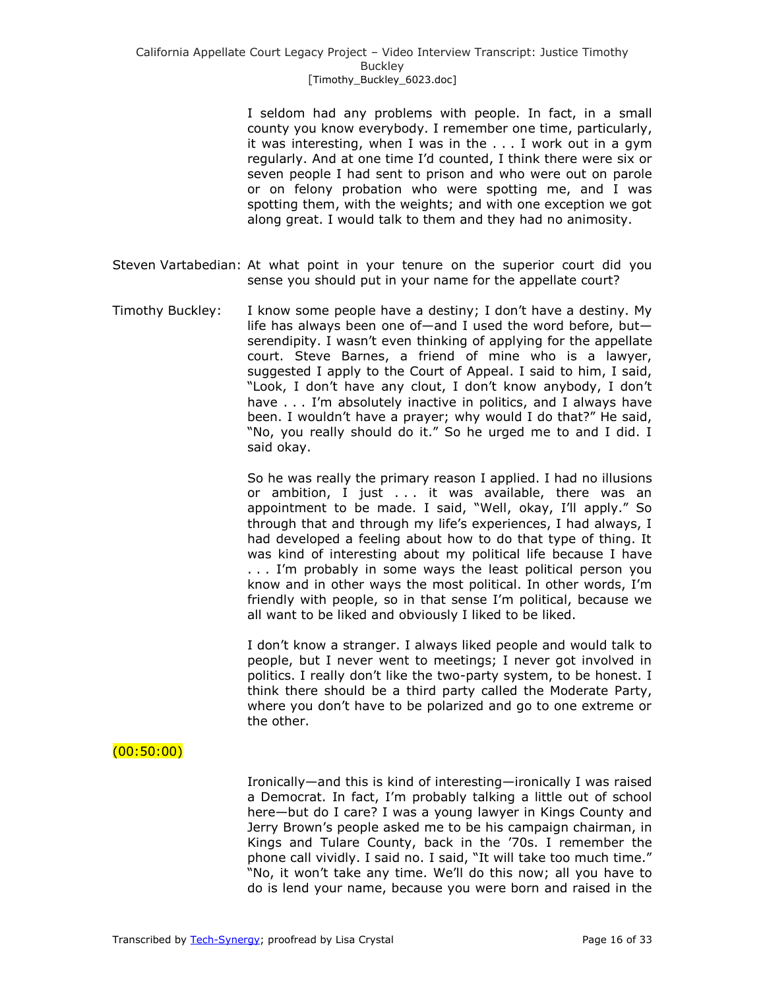I seldom had any problems with people. In fact, in a small county you know everybody. I remember one time, particularly, it was interesting, when I was in the . . . I work out in a gym regularly. And at one time I'd counted, I think there were six or seven people I had sent to prison and who were out on parole or on felony probation who were spotting me, and I was spotting them, with the weights; and with one exception we got along great. I would talk to them and they had no animosity.

- Steven Vartabedian: At what point in your tenure on the superior court did you sense you should put in your name for the appellate court?
- Timothy Buckley: I know some people have a destiny; I don't have a destiny. My life has always been one of—and I used the word before, but serendipity. I wasn't even thinking of applying for the appellate court. Steve Barnes, a friend of mine who is a lawyer, suggested I apply to the Court of Appeal. I said to him, I said, "Look, I don't have any clout, I don't know anybody, I don't have . . . I'm absolutely inactive in politics, and I always have been. I wouldn't have a prayer; why would I do that?" He said, "No, you really should do it." So he urged me to and I did. I said okay.

So he was really the primary reason I applied. I had no illusions or ambition, I just . . . it was available, there was an appointment to be made. I said, "Well, okay, I'll apply." So through that and through my life's experiences, I had always, I had developed a feeling about how to do that type of thing. It was kind of interesting about my political life because I have . . . I'm probably in some ways the least political person you know and in other ways the most political. In other words, I'm friendly with people, so in that sense I'm political, because we all want to be liked and obviously I liked to be liked.

I don't know a stranger. I always liked people and would talk to people, but I never went to meetings; I never got involved in politics. I really don't like the two-party system, to be honest. I think there should be a third party called the Moderate Party, where you don't have to be polarized and go to one extreme or the other.

## $(00:50:00)$

Ironically—and this is kind of interesting—ironically I was raised a Democrat. In fact, I'm probably talking a little out of school here—but do I care? I was a young lawyer in Kings County and Jerry Brown's people asked me to be his campaign chairman, in Kings and Tulare County, back in the '70s. I remember the phone call vividly. I said no. I said, "It will take too much time." "No, it won't take any time. We'll do this now; all you have to do is lend your name, because you were born and raised in the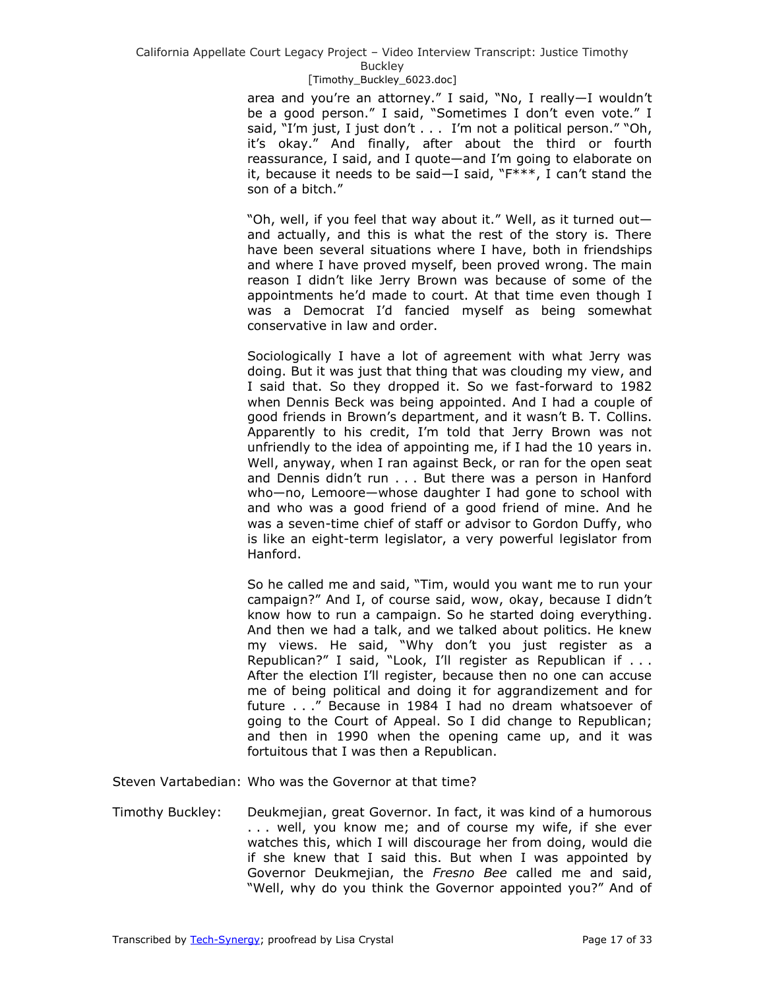### [Timothy\_Buckley\_6023.doc]

area and you're an attorney." I said, "No, I really-I wouldn't be a good person." I said, "Sometimes I don't even vote." I said, "I'm just, I just don't . . . I'm not a political person." "Oh, it's okay." And finally, after about the third or fourth reassurance, I said, and I quote—and I'm going to elaborate on it, because it needs to be said—I said, " $F***$ , I can't stand the son of a bitch."

"Oh, well, if you feel that way about it." Well, as it turned outand actually, and this is what the rest of the story is. There have been several situations where I have, both in friendships and where I have proved myself, been proved wrong. The main reason I didn't like Jerry Brown was because of some of the appointments he'd made to court. At that time even though I was a Democrat I'd fancied myself as being somewhat conservative in law and order.

Sociologically I have a lot of agreement with what Jerry was doing. But it was just that thing that was clouding my view, and I said that. So they dropped it. So we fast-forward to 1982 when Dennis Beck was being appointed. And I had a couple of good friends in Brown's department, and it wasn't B. T. Collins. Apparently to his credit, I'm told that Jerry Brown was not unfriendly to the idea of appointing me, if I had the 10 years in. Well, anyway, when I ran against Beck, or ran for the open seat and Dennis didn't run . . . But there was a person in Hanford who—no, Lemoore—whose daughter I had gone to school with and who was a good friend of a good friend of mine. And he was a seven-time chief of staff or advisor to Gordon Duffy, who is like an eight-term legislator, a very powerful legislator from Hanford.

So he called me and said, "Tim, would you want me to run your campaign?" And I, of course said, wow, okay, because I didn't know how to run a campaign. So he started doing everything. And then we had a talk, and we talked about politics. He knew my views. He said, "Why don't you just register as a Republican?" I said, "Look, I'll register as Republican if ... After the election I'll register, because then no one can accuse me of being political and doing it for aggrandizement and for future . . ." Because in 1984 I had no dream whatsoever of going to the Court of Appeal. So I did change to Republican; and then in 1990 when the opening came up, and it was fortuitous that I was then a Republican.

Steven Vartabedian: Who was the Governor at that time?

Timothy Buckley: Deukmejian, great Governor. In fact, it was kind of a humorous . . . well, you know me; and of course my wife, if she ever watches this, which I will discourage her from doing, would die if she knew that I said this. But when I was appointed by Governor Deukmejian, the *Fresno Bee* called me and said, "Well, why do you think the Governor appointed you?" And of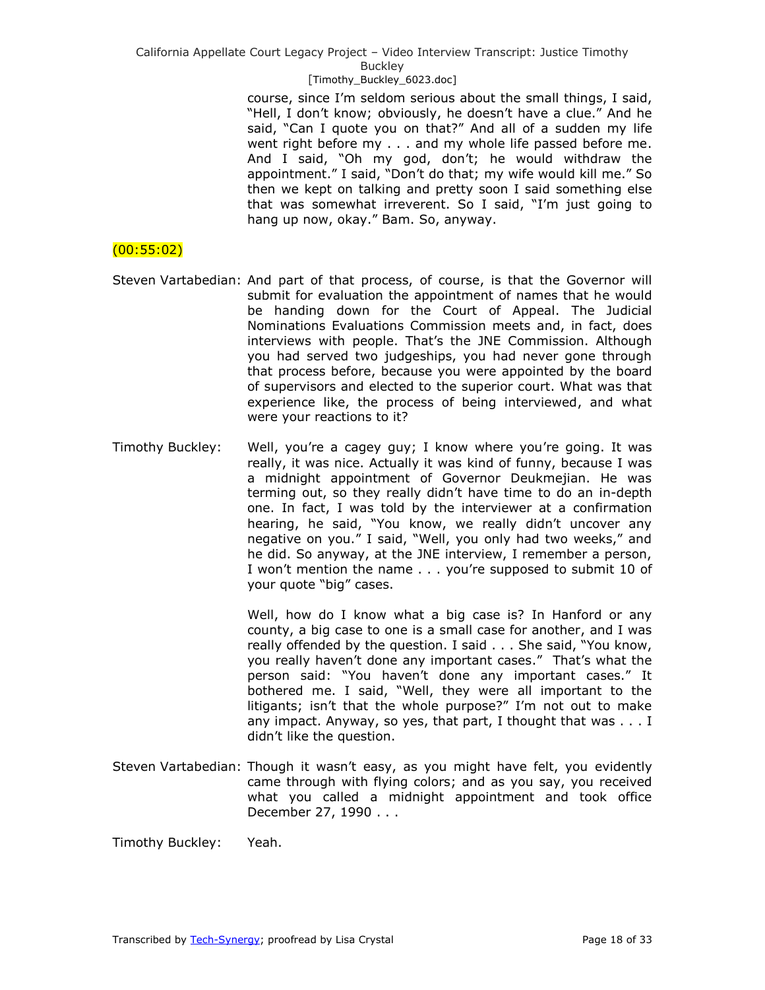> course, since I'm seldom serious about the small things, I said, "Hell, I don't know; obviously, he doesn't have a clue." And he said, "Can I quote you on that?" And all of a sudden my life went right before my . . . and my whole life passed before me. And I said, "Oh my god, don't; he would withdraw the appointment." I said, "Don't do that; my wife would kill me." So then we kept on talking and pretty soon I said something else that was somewhat irreverent. So I said, "I'm just going to hang up now, okay." Bam. So, anyway.

# (00:55:02)

- Steven Vartabedian: And part of that process, of course, is that the Governor will submit for evaluation the appointment of names that he would be handing down for the Court of Appeal. The Judicial Nominations Evaluations Commission meets and, in fact, does interviews with people. That's the JNE Commission. Although you had served two judgeships, you had never gone through that process before, because you were appointed by the board of supervisors and elected to the superior court. What was that experience like, the process of being interviewed, and what were your reactions to it?
- Timothy Buckley: Well, you're a cagey guy; I know where you're going. It was really, it was nice. Actually it was kind of funny, because I was a midnight appointment of Governor Deukmejian. He was terming out, so they really didn't have time to do an in-depth one. In fact, I was told by the interviewer at a confirmation hearing, he said, "You know, we really didn't uncover any negative on you." I said, "Well, you only had two weeks," and he did. So anyway, at the JNE interview, I remember a person, I won't mention the name . . . you're supposed to submit 10 of your quote "big" cases.

Well, how do I know what a big case is? In Hanford or any county, a big case to one is a small case for another, and I was really offended by the question. I said  $\ldots$  She said, "You know, you really haven't done any important cases." That's what the person said: "You haven't done any important cases." It bothered me. I said, "Well, they were all important to the litigants; isn't that the whole purpose?" I'm not out to make any impact. Anyway, so yes, that part, I thought that was . . . I didn't like the question.

Steven Vartabedian: Though it wasn't easy, as you might have felt, you evidently came through with flying colors; and as you say, you received what you called a midnight appointment and took office December 27, 1990 . . .

Timothy Buckley: Yeah.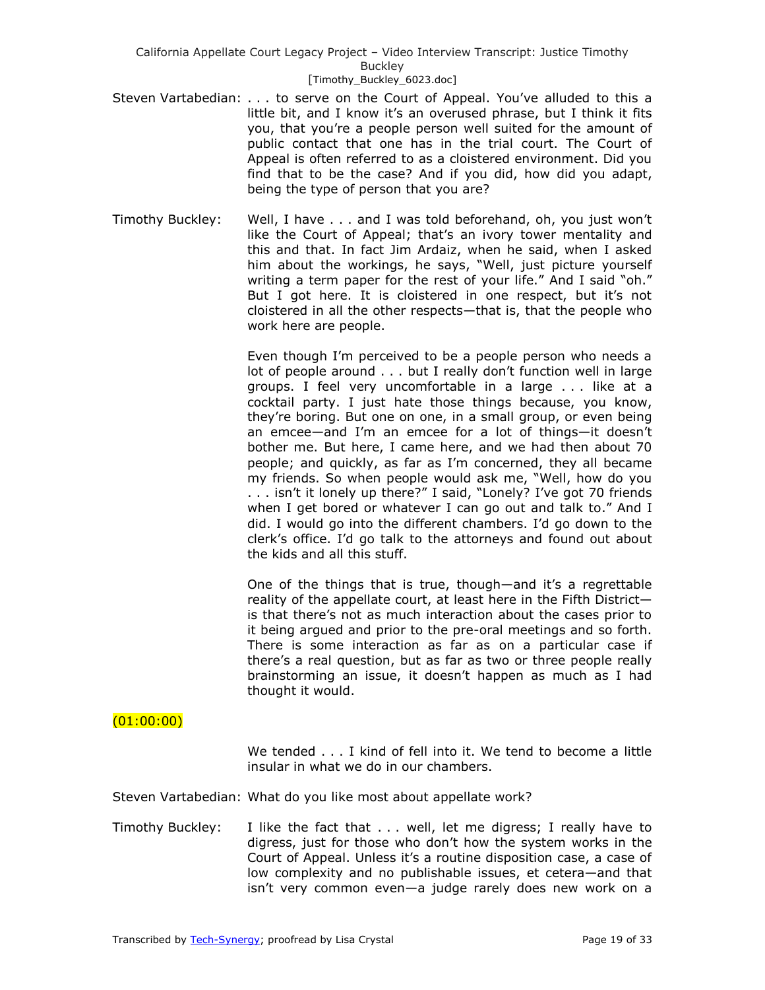### [Timothy\_Buckley\_6023.doc]

- Steven Vartabedian: . . . to serve on the Court of Appeal. You've alluded to this a little bit, and I know it's an overused phrase, but I think it fits you, that you're a people person well suited for the amount of public contact that one has in the trial court. The Court of Appeal is often referred to as a cloistered environment. Did you find that to be the case? And if you did, how did you adapt, being the type of person that you are?
- Timothy Buckley: Well, I have . . . and I was told beforehand, oh, you just won't like the Court of Appeal; that's an ivory tower mentality and this and that. In fact Jim Ardaiz, when he said, when I asked him about the workings, he says, "Well, just picture yourself writing a term paper for the rest of your life." And I said "oh." But I got here. It is cloistered in one respect, but it's not cloistered in all the other respects—that is, that the people who work here are people.

Even though I'm perceived to be a people person who needs a lot of people around . . . but I really don't function well in large groups. I feel very uncomfortable in a large . . . like at a cocktail party. I just hate those things because, you know, they're boring. But one on one, in a small group, or even being an emcee—and I'm an emcee for a lot of things—it doesn't bother me. But here, I came here, and we had then about 70 people; and quickly, as far as I'm concerned, they all became my friends. So when people would ask me, "Well, how do you ... isn't it lonely up there?" I said, "Lonely? I've got 70 friends when I get bored or whatever I can go out and talk to." And I did. I would go into the different chambers. I'd go down to the clerk's office. I'd go talk to the attorneys and found out about the kids and all this stuff.

One of the things that is true, though—and it's a regrettable reality of the appellate court, at least here in the Fifth District is that there's not as much interaction about the cases prior to it being argued and prior to the pre-oral meetings and so forth. There is some interaction as far as on a particular case if there's a real question, but as far as two or three people really brainstorming an issue, it doesn't happen as much as I had thought it would.

## $(01:00:00)$

We tended . . . I kind of fell into it. We tend to become a little insular in what we do in our chambers.

Steven Vartabedian: What do you like most about appellate work?

Timothy Buckley: I like the fact that . . . well, let me digress; I really have to digress, just for those who don't how the system works in the Court of Appeal. Unless it's a routine disposition case, a case of low complexity and no publishable issues, et cetera—and that isn't very common even—a judge rarely does new work on a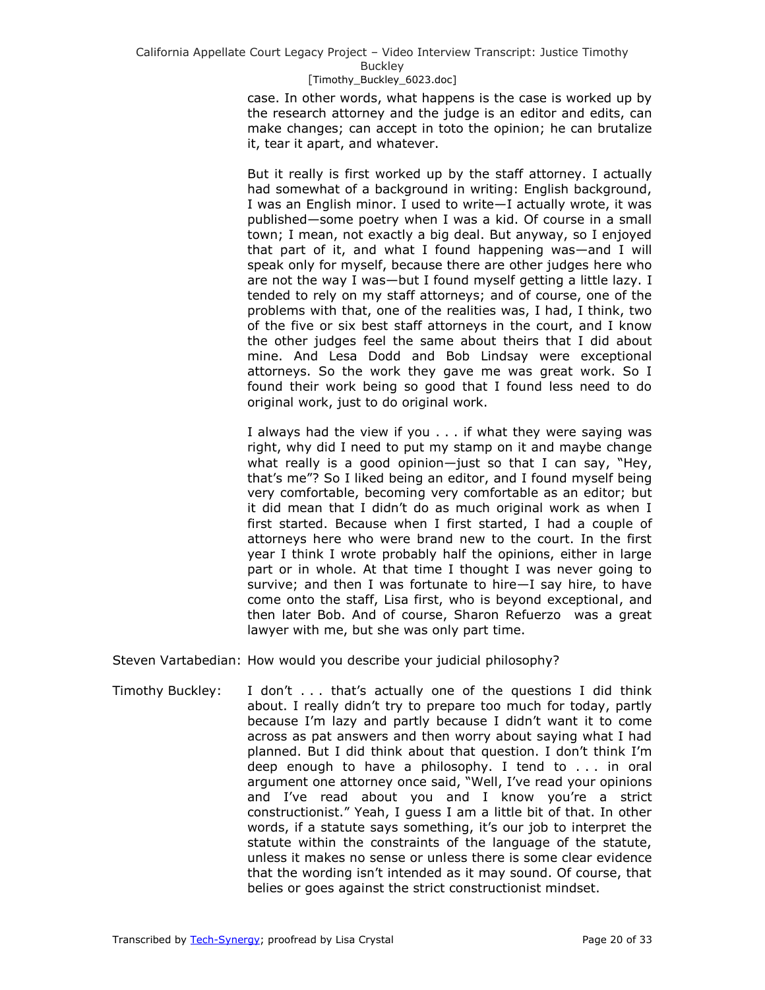case. In other words, what happens is the case is worked up by the research attorney and the judge is an editor and edits, can make changes; can accept in toto the opinion; he can brutalize it, tear it apart, and whatever.

But it really is first worked up by the staff attorney. I actually had somewhat of a background in writing: English background, I was an English minor. I used to write—I actually wrote, it was published—some poetry when I was a kid. Of course in a small town; I mean, not exactly a big deal. But anyway, so I enjoyed that part of it, and what I found happening was—and I will speak only for myself, because there are other judges here who are not the way I was—but I found myself getting a little lazy. I tended to rely on my staff attorneys; and of course, one of the problems with that, one of the realities was, I had, I think, two of the five or six best staff attorneys in the court, and I know the other judges feel the same about theirs that I did about mine. And Lesa Dodd and Bob Lindsay were exceptional attorneys. So the work they gave me was great work. So I found their work being so good that I found less need to do original work, just to do original work.

I always had the view if you . . . if what they were saying was right, why did I need to put my stamp on it and maybe change what really is a good opinion-just so that I can say, "Hey, that's me‖? So I liked being an editor, and I found myself being very comfortable, becoming very comfortable as an editor; but it did mean that I didn't do as much original work as when I first started. Because when I first started, I had a couple of attorneys here who were brand new to the court. In the first year I think I wrote probably half the opinions, either in large part or in whole. At that time I thought I was never going to survive; and then I was fortunate to hire—I say hire, to have come onto the staff, Lisa first, who is beyond exceptional, and then later Bob. And of course, Sharon Refuerzo was a great lawyer with me, but she was only part time.

Steven Vartabedian: How would you describe your judicial philosophy?

Timothy Buckley: I don't . . . that's actually one of the questions I did think about. I really didn't try to prepare too much for today, partly because I'm lazy and partly because I didn't want it to come across as pat answers and then worry about saying what I had planned. But I did think about that question. I don't think I'm deep enough to have a philosophy. I tend to . . . in oral argument one attorney once said, "Well, I've read your opinions and I've read about you and I know you're a strict constructionist." Yeah, I quess I am a little bit of that. In other words, if a statute says something, it's our job to interpret the statute within the constraints of the language of the statute, unless it makes no sense or unless there is some clear evidence that the wording isn't intended as it may sound. Of course, that belies or goes against the strict constructionist mindset.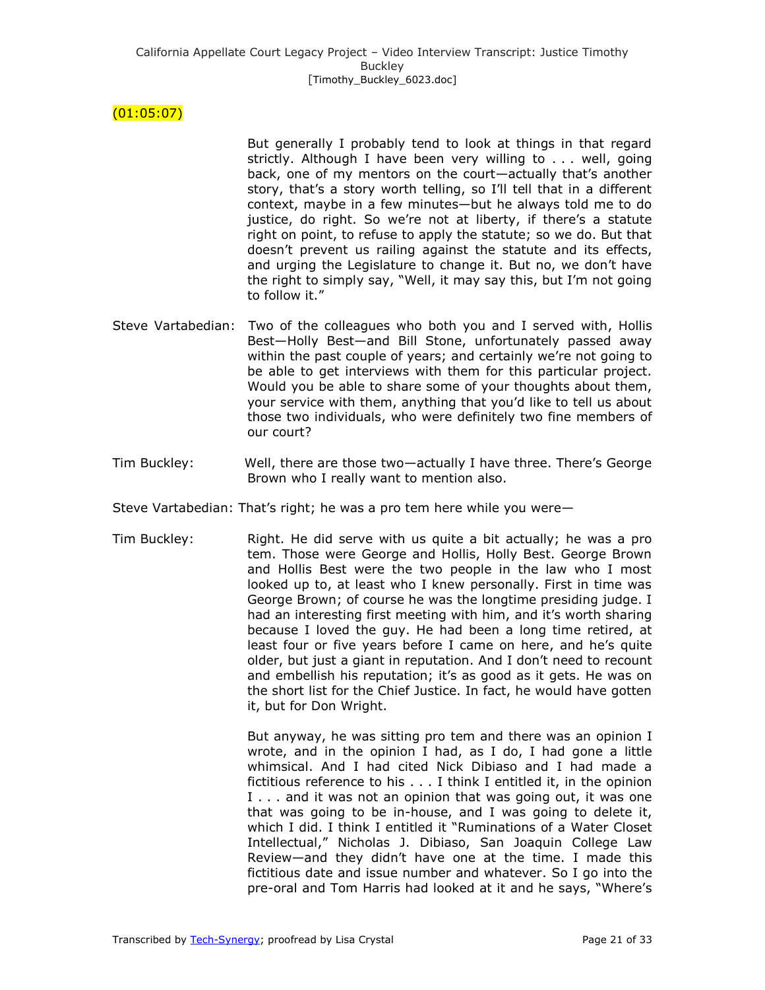# $(01:05:07)$

But generally I probably tend to look at things in that regard strictly. Although I have been very willing to . . . well, going back, one of my mentors on the court—actually that's another story, that's a story worth telling, so I'll tell that in a different context, maybe in a few minutes—but he always told me to do justice, do right. So we're not at liberty, if there's a statute right on point, to refuse to apply the statute; so we do. But that doesn't prevent us railing against the statute and its effects, and urging the Legislature to change it. But no, we don't have the right to simply say, "Well, it may say this, but I'm not going to follow it."

- Steve Vartabedian: Two of the colleagues who both you and I served with, Hollis Best—Holly Best—and Bill Stone, unfortunately passed away within the past couple of years; and certainly we're not going to be able to get interviews with them for this particular project. Would you be able to share some of your thoughts about them, your service with them, anything that you'd like to tell us about those two individuals, who were definitely two fine members of our court?
- Tim Buckley: Well, there are those two—actually I have three. There's George Brown who I really want to mention also.
- Steve Vartabedian: That's right; he was a pro tem here while you were—
- Tim Buckley: Right. He did serve with us quite a bit actually; he was a pro tem. Those were George and Hollis, Holly Best. George Brown and Hollis Best were the two people in the law who I most looked up to, at least who I knew personally. First in time was George Brown; of course he was the longtime presiding judge. I had an interesting first meeting with him, and it's worth sharing because I loved the guy. He had been a long time retired, at least four or five years before I came on here, and he's quite older, but just a giant in reputation. And I don't need to recount and embellish his reputation; it's as good as it gets. He was on the short list for the Chief Justice. In fact, he would have gotten it, but for Don Wright.

But anyway, he was sitting pro tem and there was an opinion I wrote, and in the opinion I had, as I do, I had gone a little whimsical. And I had cited Nick Dibiaso and I had made a fictitious reference to his . . . I think I entitled it, in the opinion I . . . and it was not an opinion that was going out, it was one that was going to be in-house, and I was going to delete it, which I did. I think I entitled it "Ruminations of a Water Closet Intellectual," Nicholas J. Dibiaso, San Joaquin College Law Review—and they didn't have one at the time. I made this fictitious date and issue number and whatever. So I go into the pre-oral and Tom Harris had looked at it and he says, "Where's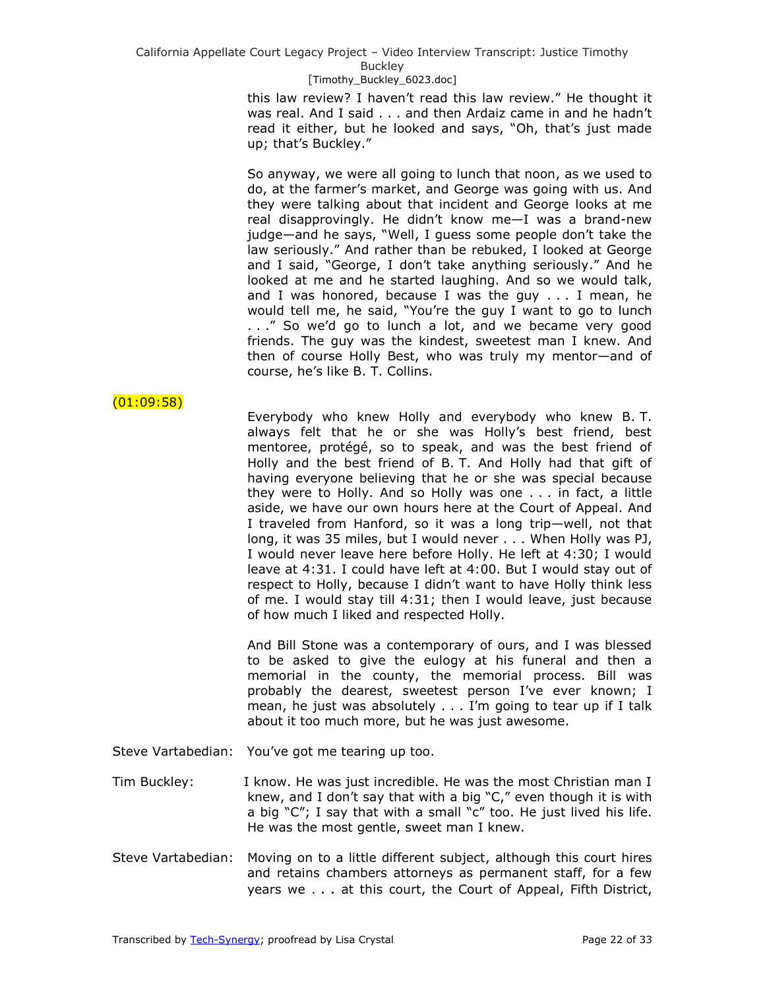[Timothy\_Buckley\_6023.doc]

this law review? I haven't read this law review." He thought it was real. And I said . . . and then Ardaiz came in and he hadn't read it either, but he looked and says, "Oh, that's just made up; that's Buckley."

So anyway, we were all going to lunch that noon, as we used to do, at the farmer's market, and George was going with us. And they were talking about that incident and George looks at me real disapprovingly. He didn't know me—I was a brand-new judge—and he says, "Well, I guess some people don't take the law seriously." And rather than be rebuked, I looked at George and I said, "George, I don't take anything seriously." And he looked at me and he started laughing. And so we would talk, and I was honored, because I was the guy . . . I mean, he would tell me, he said, "You're the guy I want to go to lunch ..." So we'd go to lunch a lot, and we became very good friends. The guy was the kindest, sweetest man I knew. And then of course Holly Best, who was truly my mentor—and of course, he's like B. T. Collins.

## (01:09:58)

Everybody who knew Holly and everybody who knew B. T. always felt that he or she was Holly's best friend, best mentoree, protégé, so to speak, and was the best friend of Holly and the best friend of B. T. And Holly had that gift of having everyone believing that he or she was special because they were to Holly. And so Holly was one . . . in fact, a little aside, we have our own hours here at the Court of Appeal. And I traveled from Hanford, so it was a long trip—well, not that long, it was 35 miles, but I would never . . . When Holly was PJ, I would never leave here before Holly. He left at 4:30; I would leave at 4:31. I could have left at 4:00. But I would stay out of respect to Holly, because I didn't want to have Holly think less of me. I would stay till 4:31; then I would leave, just because of how much I liked and respected Holly.

And Bill Stone was a contemporary of ours, and I was blessed to be asked to give the eulogy at his funeral and then a memorial in the county, the memorial process. Bill was probably the dearest, sweetest person I've ever known; I mean, he just was absolutely . . . I'm going to tear up if I talk about it too much more, but he was just awesome.

Steve Vartabedian: You've got me tearing up too.

- Tim Buckley: I know. He was just incredible. He was the most Christian man I knew, and I don't say that with a big  $C$ ," even though it is with a big  $C''$ ; I say that with a small "c" too. He just lived his life. He was the most gentle, sweet man I knew.
- Steve Vartabedian: Moving on to a little different subject, although this court hires and retains chambers attorneys as permanent staff, for a few years we . . . at this court, the Court of Appeal, Fifth District,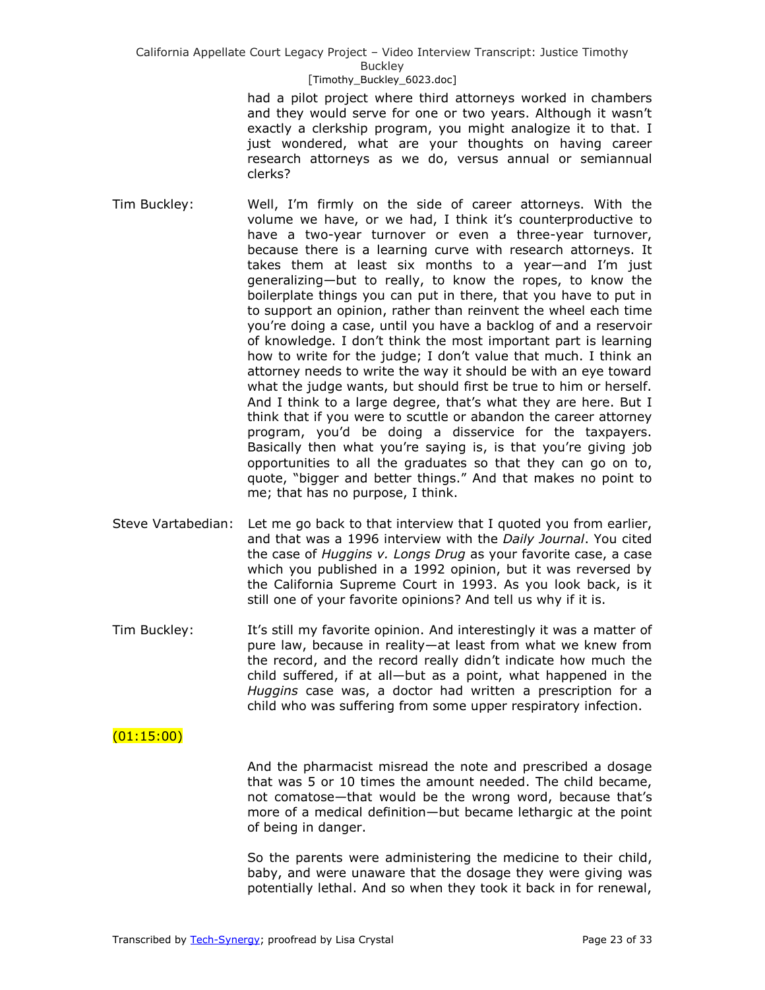#### [Timothy\_Buckley\_6023.doc]

had a pilot project where third attorneys worked in chambers and they would serve for one or two years. Although it wasn't exactly a clerkship program, you might analogize it to that. I just wondered, what are your thoughts on having career research attorneys as we do, versus annual or semiannual clerks?

- Tim Buckley: Well, I'm firmly on the side of career attorneys. With the volume we have, or we had, I think it's counterproductive to have a two-year turnover or even a three-year turnover, because there is a learning curve with research attorneys. It takes them at least six months to a year—and I'm just generalizing—but to really, to know the ropes, to know the boilerplate things you can put in there, that you have to put in to support an opinion, rather than reinvent the wheel each time you're doing a case, until you have a backlog of and a reservoir of knowledge. I don't think the most important part is learning how to write for the judge; I don't value that much. I think an attorney needs to write the way it should be with an eye toward what the judge wants, but should first be true to him or herself. And I think to a large degree, that's what they are here. But I think that if you were to scuttle or abandon the career attorney program, you'd be doing a disservice for the taxpayers. Basically then what you're saying is, is that you're giving job opportunities to all the graduates so that they can go on to, quote, "bigger and better things." And that makes no point to me; that has no purpose, I think.
- Steve Vartabedian: Let me go back to that interview that I quoted you from earlier, and that was a 1996 interview with the *Daily Journal*. You cited the case of *Huggins v. Longs Drug* as your favorite case, a case which you published in a 1992 opinion, but it was reversed by the California Supreme Court in 1993. As you look back, is it still one of your favorite opinions? And tell us why if it is.
- Tim Buckley: It's still my favorite opinion. And interestingly it was a matter of pure law, because in reality—at least from what we knew from the record, and the record really didn't indicate how much the child suffered, if at all—but as a point, what happened in the *Huggins* case was, a doctor had written a prescription for a child who was suffering from some upper respiratory infection.

## $(01:15:00)$

And the pharmacist misread the note and prescribed a dosage that was 5 or 10 times the amount needed. The child became, not comatose—that would be the wrong word, because that's more of a medical definition—but became lethargic at the point of being in danger.

So the parents were administering the medicine to their child, baby, and were unaware that the dosage they were giving was potentially lethal. And so when they took it back in for renewal,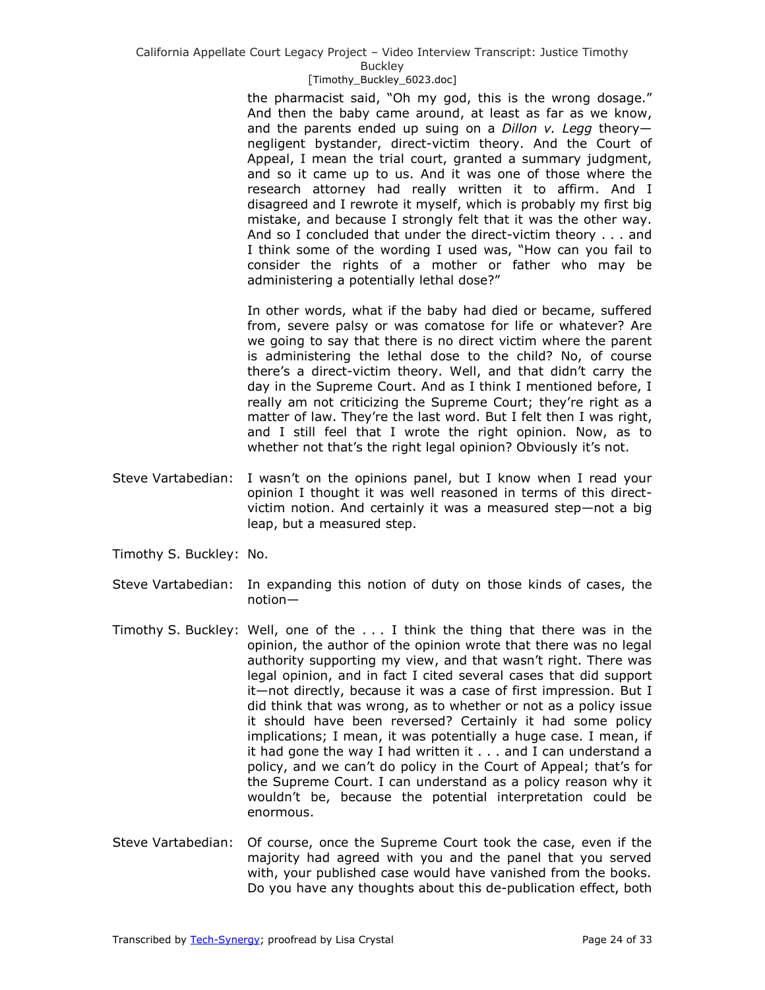### [Timothy\_Buckley\_6023.doc]

the pharmacist said, "Oh my god, this is the wrong dosage." And then the baby came around, at least as far as we know, and the parents ended up suing on a *Dillon v. Legg* theory negligent bystander, direct-victim theory. And the Court of Appeal, I mean the trial court, granted a summary judgment, and so it came up to us. And it was one of those where the research attorney had really written it to affirm. And I disagreed and I rewrote it myself, which is probably my first big mistake, and because I strongly felt that it was the other way. And so I concluded that under the direct-victim theory . . . and I think some of the wording I used was, "How can you fail to consider the rights of a mother or father who may be administering a potentially lethal dose?"

In other words, what if the baby had died or became, suffered from, severe palsy or was comatose for life or whatever? Are we going to say that there is no direct victim where the parent is administering the lethal dose to the child? No, of course there's a direct-victim theory. Well, and that didn't carry the day in the Supreme Court. And as I think I mentioned before, I really am not criticizing the Supreme Court; they're right as a matter of law. They're the last word. But I felt then I was right, and I still feel that I wrote the right opinion. Now, as to whether not that's the right legal opinion? Obviously it's not.

- Steve Vartabedian: I wasn't on the opinions panel, but I know when I read your opinion I thought it was well reasoned in terms of this directvictim notion. And certainly it was a measured step—not a big leap, but a measured step.
- Timothy S. Buckley: No.
- Steve Vartabedian: In expanding this notion of duty on those kinds of cases, the notion—
- Timothy S. Buckley: Well, one of the . . . I think the thing that there was in the opinion, the author of the opinion wrote that there was no legal authority supporting my view, and that wasn't right. There was legal opinion, and in fact I cited several cases that did support it—not directly, because it was a case of first impression. But I did think that was wrong, as to whether or not as a policy issue it should have been reversed? Certainly it had some policy implications; I mean, it was potentially a huge case. I mean, if it had gone the way I had written it . . . and I can understand a policy, and we can't do policy in the Court of Appeal; that's for the Supreme Court. I can understand as a policy reason why it wouldn't be, because the potential interpretation could be enormous.
- Steve Vartabedian: Of course, once the Supreme Court took the case, even if the majority had agreed with you and the panel that you served with, your published case would have vanished from the books. Do you have any thoughts about this de-publication effect, both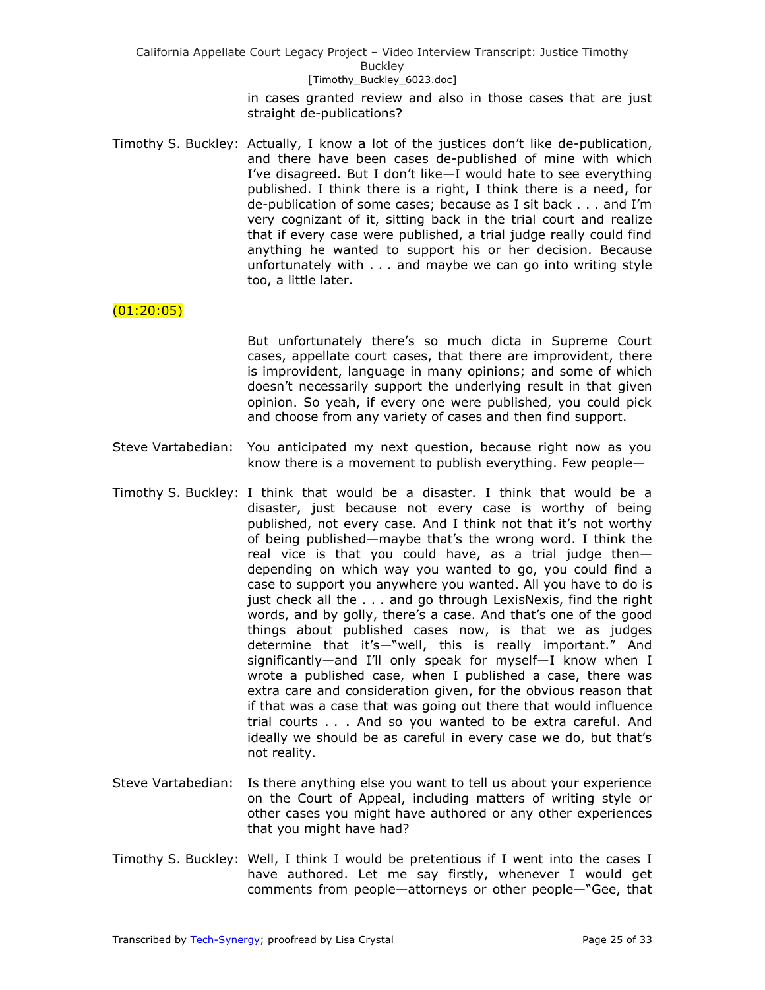> in cases granted review and also in those cases that are just straight de-publications?

Timothy S. Buckley: Actually, I know a lot of the justices don't like de-publication, and there have been cases de-published of mine with which I've disagreed. But I don't like—I would hate to see everything published. I think there is a right, I think there is a need, for de-publication of some cases; because as I sit back . . . and I'm very cognizant of it, sitting back in the trial court and realize that if every case were published, a trial judge really could find anything he wanted to support his or her decision. Because unfortunately with . . . and maybe we can go into writing style too, a little later.

# $(01:20:05)$

But unfortunately there's so much dicta in Supreme Court cases, appellate court cases, that there are improvident, there is improvident, language in many opinions; and some of which doesn't necessarily support the underlying result in that given opinion. So yeah, if every one were published, you could pick and choose from any variety of cases and then find support.

- Steve Vartabedian: You anticipated my next question, because right now as you know there is a movement to publish everything. Few people—
- Timothy S. Buckley: I think that would be a disaster. I think that would be a disaster, just because not every case is worthy of being published, not every case. And I think not that it's not worthy of being published—maybe that's the wrong word. I think the real vice is that you could have, as a trial judge then depending on which way you wanted to go, you could find a case to support you anywhere you wanted. All you have to do is just check all the . . . and go through LexisNexis, find the right words, and by golly, there's a case. And that's one of the good things about published cases now, is that we as judges determine that it's-"well, this is really important." And significantly—and I'll only speak for myself—I know when I wrote a published case, when I published a case, there was extra care and consideration given, for the obvious reason that if that was a case that was going out there that would influence trial courts . . . And so you wanted to be extra careful. And ideally we should be as careful in every case we do, but that's not reality.
- Steve Vartabedian: Is there anything else you want to tell us about your experience on the Court of Appeal, including matters of writing style or other cases you might have authored or any other experiences that you might have had?
- Timothy S. Buckley: Well, I think I would be pretentious if I went into the cases I have authored. Let me say firstly, whenever I would get comments from people—attorneys or other people—"Gee, that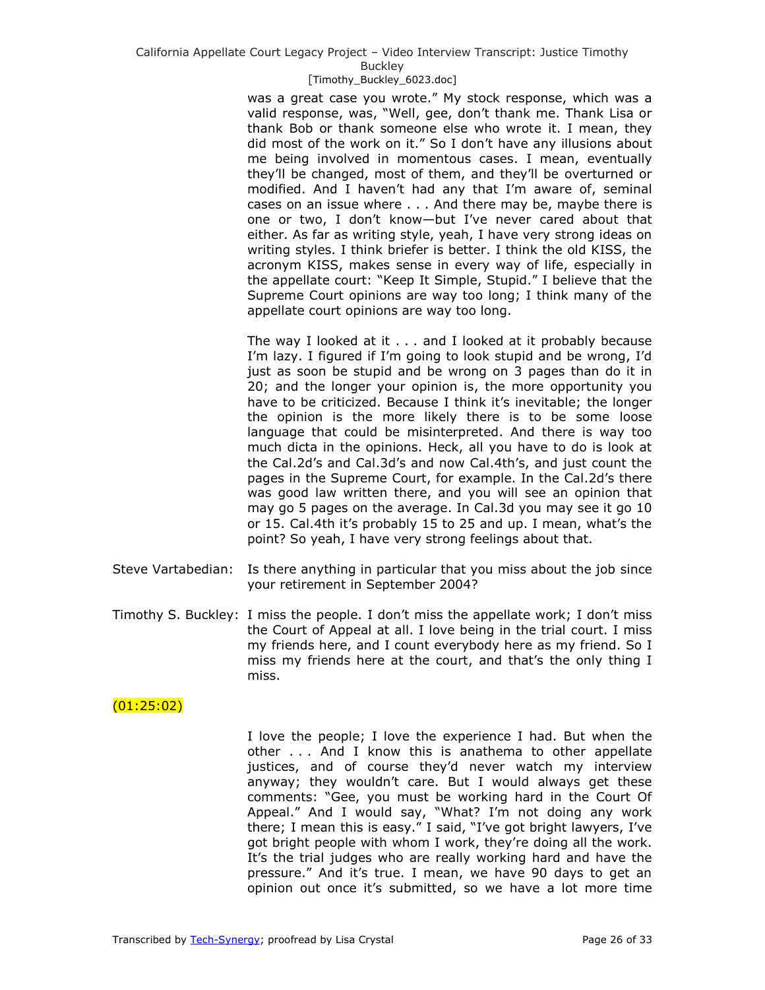Buckley

### [Timothy\_Buckley\_6023.doc]

was a great case you wrote." My stock response, which was a valid response, was, "Well, gee, don't thank me. Thank Lisa or thank Bob or thank someone else who wrote it. I mean, they did most of the work on it." So I don't have any illusions about me being involved in momentous cases. I mean, eventually they'll be changed, most of them, and they'll be overturned or modified. And I haven't had any that I'm aware of, seminal cases on an issue where . . . And there may be, maybe there is one or two, I don't know—but I've never cared about that either. As far as writing style, yeah, I have very strong ideas on writing styles. I think briefer is better. I think the old KISS, the acronym KISS, makes sense in every way of life, especially in the appellate court: "Keep It Simple, Stupid." I believe that the Supreme Court opinions are way too long; I think many of the appellate court opinions are way too long.

The way I looked at it . . . and I looked at it probably because I'm lazy. I figured if I'm going to look stupid and be wrong, I'd just as soon be stupid and be wrong on 3 pages than do it in 20; and the longer your opinion is, the more opportunity you have to be criticized. Because I think it's inevitable; the longer the opinion is the more likely there is to be some loose language that could be misinterpreted. And there is way too much dicta in the opinions. Heck, all you have to do is look at the Cal.2d's and Cal.3d's and now Cal.4th's, and just count the pages in the Supreme Court, for example. In the Cal.2d's there was good law written there, and you will see an opinion that may go 5 pages on the average. In Cal.3d you may see it go 10 or 15. Cal.4th it's probably 15 to 25 and up. I mean, what's the point? So yeah, I have very strong feelings about that.

- Steve Vartabedian: Is there anything in particular that you miss about the job since your retirement in September 2004?
- Timothy S. Buckley: I miss the people. I don't miss the appellate work; I don't miss the Court of Appeal at all. I love being in the trial court. I miss my friends here, and I count everybody here as my friend. So I miss my friends here at the court, and that's the only thing I miss.

## (01:25:02)

I love the people; I love the experience I had. But when the other . . . And I know this is anathema to other appellate justices, and of course they'd never watch my interview anyway; they wouldn't care. But I would always get these comments: "Gee, you must be working hard in the Court Of Appeal." And I would say, "What? I'm not doing any work there; I mean this is easy." I said, "I've got bright lawyers, I've got bright people with whom I work, they're doing all the work. It's the trial judges who are really working hard and have the pressure." And it's true. I mean, we have 90 days to get an opinion out once it's submitted, so we have a lot more time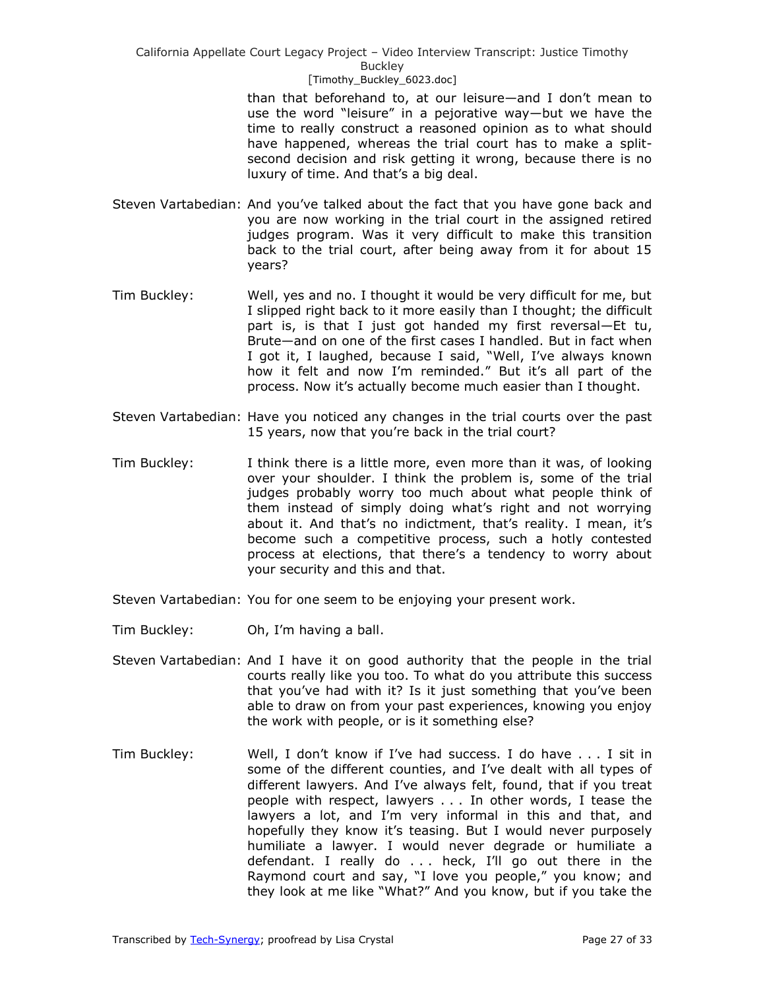#### [Timothy\_Buckley\_6023.doc]

than that beforehand to, at our leisure—and I don't mean to use the word "leisure" in a pejorative way—but we have the time to really construct a reasoned opinion as to what should have happened, whereas the trial court has to make a splitsecond decision and risk getting it wrong, because there is no luxury of time. And that's a big deal.

- Steven Vartabedian: And you've talked about the fact that you have gone back and you are now working in the trial court in the assigned retired judges program. Was it very difficult to make this transition back to the trial court, after being away from it for about 15 years?
- Tim Buckley: Well, yes and no. I thought it would be very difficult for me, but I slipped right back to it more easily than I thought; the difficult part is, is that I just got handed my first reversal—Et tu, Brute—and on one of the first cases I handled. But in fact when I got it, I laughed, because I said, "Well, I've always known how it felt and now I'm reminded." But it's all part of the process. Now it's actually become much easier than I thought.
- Steven Vartabedian: Have you noticed any changes in the trial courts over the past 15 years, now that you're back in the trial court?
- Tim Buckley: I think there is a little more, even more than it was, of looking over your shoulder. I think the problem is, some of the trial judges probably worry too much about what people think of them instead of simply doing what's right and not worrying about it. And that's no indictment, that's reality. I mean, it's become such a competitive process, such a hotly contested process at elections, that there's a tendency to worry about your security and this and that.
- Steven Vartabedian: You for one seem to be enjoying your present work.
- Tim Buckley: Oh, I'm having a ball.
- Steven Vartabedian: And I have it on good authority that the people in the trial courts really like you too. To what do you attribute this success that you've had with it? Is it just something that you've been able to draw on from your past experiences, knowing you enjoy the work with people, or is it something else?
- Tim Buckley: Well, I don't know if I've had success. I do have . . . I sit in some of the different counties, and I've dealt with all types of different lawyers. And I've always felt, found, that if you treat people with respect, lawyers . . . In other words, I tease the lawyers a lot, and I'm very informal in this and that, and hopefully they know it's teasing. But I would never purposely humiliate a lawyer. I would never degrade or humiliate a defendant. I really do . . . heck, I'll go out there in the Raymond court and say, "I love you people," you know; and they look at me like "What?" And you know, but if you take the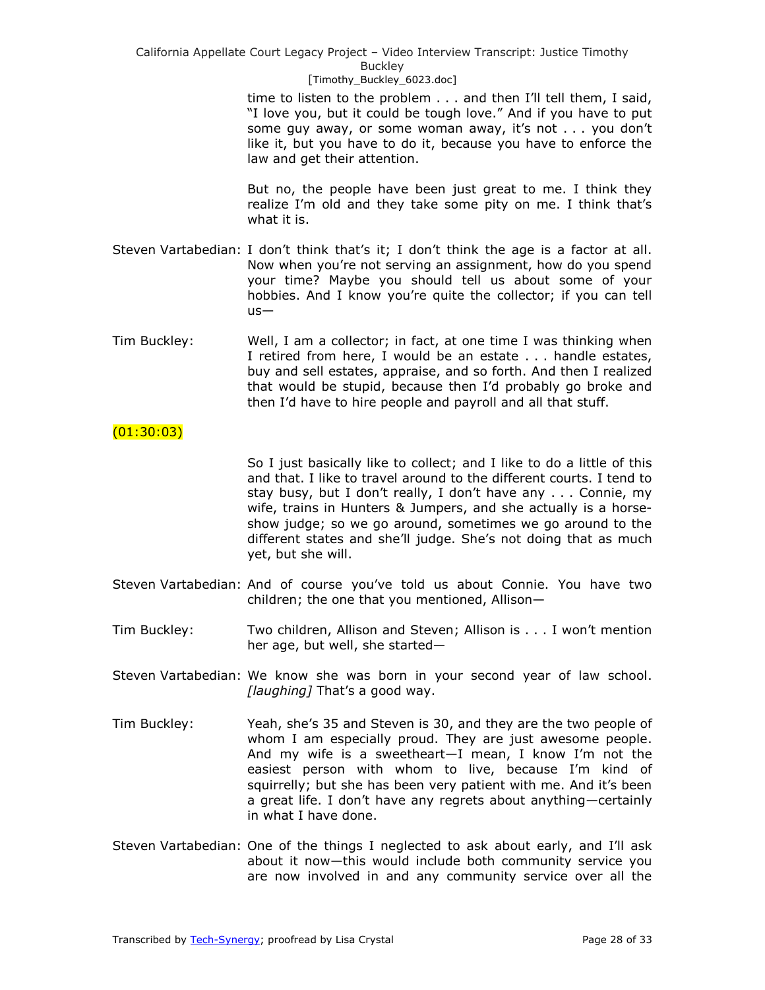[Timothy\_Buckley\_6023.doc]

time to listen to the problem . . . and then I'll tell them, I said, "I love you, but it could be tough love." And if you have to put some guy away, or some woman away, it's not . . . you don't like it, but you have to do it, because you have to enforce the law and get their attention.

But no, the people have been just great to me. I think they realize I'm old and they take some pity on me. I think that's what it is.

- Steven Vartabedian: I don't think that's it; I don't think the age is a factor at all. Now when you're not serving an assignment, how do you spend your time? Maybe you should tell us about some of your hobbies. And I know you're quite the collector; if you can tell us—
- Tim Buckley: Well, I am a collector; in fact, at one time I was thinking when I retired from here, I would be an estate . . . handle estates, buy and sell estates, appraise, and so forth. And then I realized that would be stupid, because then I'd probably go broke and then I'd have to hire people and payroll and all that stuff.

# $(01:30:03)$

So I just basically like to collect; and I like to do a little of this and that. I like to travel around to the different courts. I tend to stay busy, but I don't really, I don't have any . . . Connie, my wife, trains in Hunters & Jumpers, and she actually is a horseshow judge; so we go around, sometimes we go around to the different states and she'll judge. She's not doing that as much yet, but she will.

- Steven Vartabedian: And of course you've told us about Connie. You have two children; the one that you mentioned, Allison—
- Tim Buckley: Two children, Allison and Steven; Allison is . . . I won't mention her age, but well, she started—
- Steven Vartabedian: We know she was born in your second year of law school. *[laughing]* That's a good way.
- Tim Buckley: Yeah, she's 35 and Steven is 30, and they are the two people of whom I am especially proud. They are just awesome people. And my wife is a sweetheart—I mean, I know I'm not the easiest person with whom to live, because I'm kind of squirrelly; but she has been very patient with me. And it's been a great life. I don't have any regrets about anything—certainly in what I have done.
- Steven Vartabedian: One of the things I neglected to ask about early, and I'll ask about it now—this would include both community service you are now involved in and any community service over all the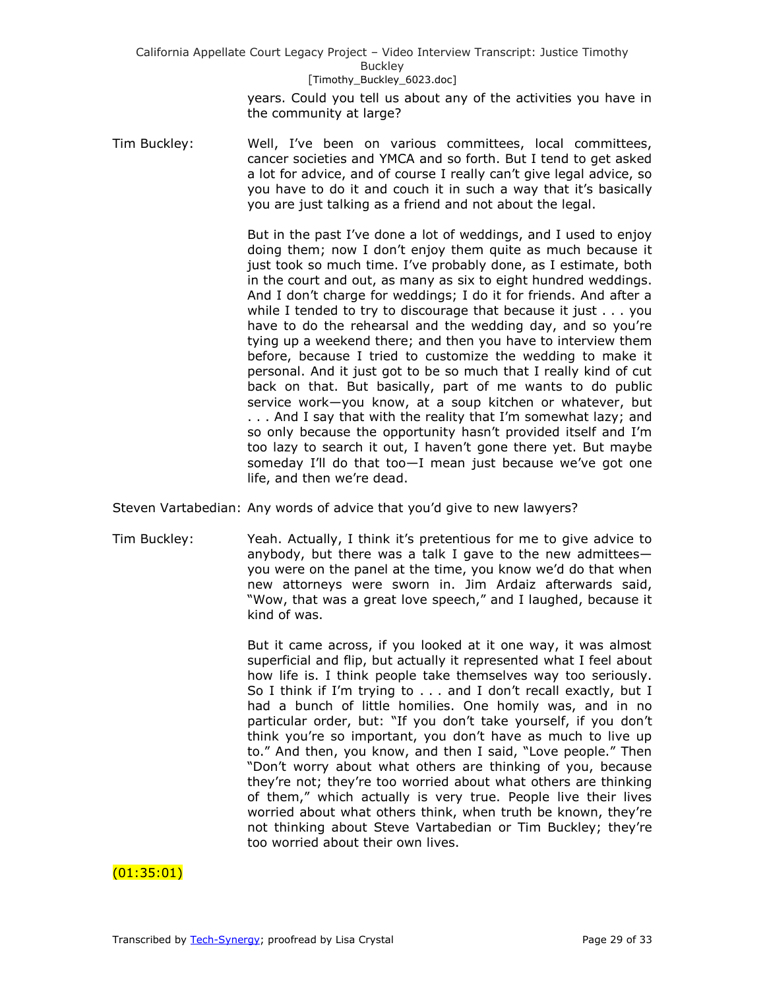> years. Could you tell us about any of the activities you have in the community at large?

Tim Buckley: Well, I've been on various committees, local committees, cancer societies and YMCA and so forth. But I tend to get asked a lot for advice, and of course I really can't give legal advice, so you have to do it and couch it in such a way that it's basically you are just talking as a friend and not about the legal.

> But in the past I've done a lot of weddings, and I used to enjoy doing them; now I don't enjoy them quite as much because it just took so much time. I've probably done, as I estimate, both in the court and out, as many as six to eight hundred weddings. And I don't charge for weddings; I do it for friends. And after a while I tended to try to discourage that because it just . . . you have to do the rehearsal and the wedding day, and so you're tying up a weekend there; and then you have to interview them before, because I tried to customize the wedding to make it personal. And it just got to be so much that I really kind of cut back on that. But basically, part of me wants to do public service work—you know, at a soup kitchen or whatever, but . . . And I say that with the reality that I'm somewhat lazy; and so only because the opportunity hasn't provided itself and I'm too lazy to search it out, I haven't gone there yet. But maybe someday I'll do that too—I mean just because we've got one life, and then we're dead.

Steven Vartabedian: Any words of advice that you'd give to new lawyers?

Tim Buckley: Yeah. Actually, I think it's pretentious for me to give advice to anybody, but there was a talk I gave to the new admittees you were on the panel at the time, you know we'd do that when new attorneys were sworn in. Jim Ardaiz afterwards said, "Wow, that was a great love speech," and I laughed, because it kind of was.

> But it came across, if you looked at it one way, it was almost superficial and flip, but actually it represented what I feel about how life is. I think people take themselves way too seriously. So I think if I'm trying to . . . and I don't recall exactly, but I had a bunch of little homilies. One homily was, and in no particular order, but: "If you don't take yourself, if you don't think you're so important, you don't have as much to live up to." And then, you know, and then I said, "Love people." Then "Don't worry about what others are thinking of you, because they're not; they're too worried about what others are thinking of them," which actually is very true. People live their lives worried about what others think, when truth be known, they're not thinking about Steve Vartabedian or Tim Buckley; they're too worried about their own lives.

# $(01:35:01)$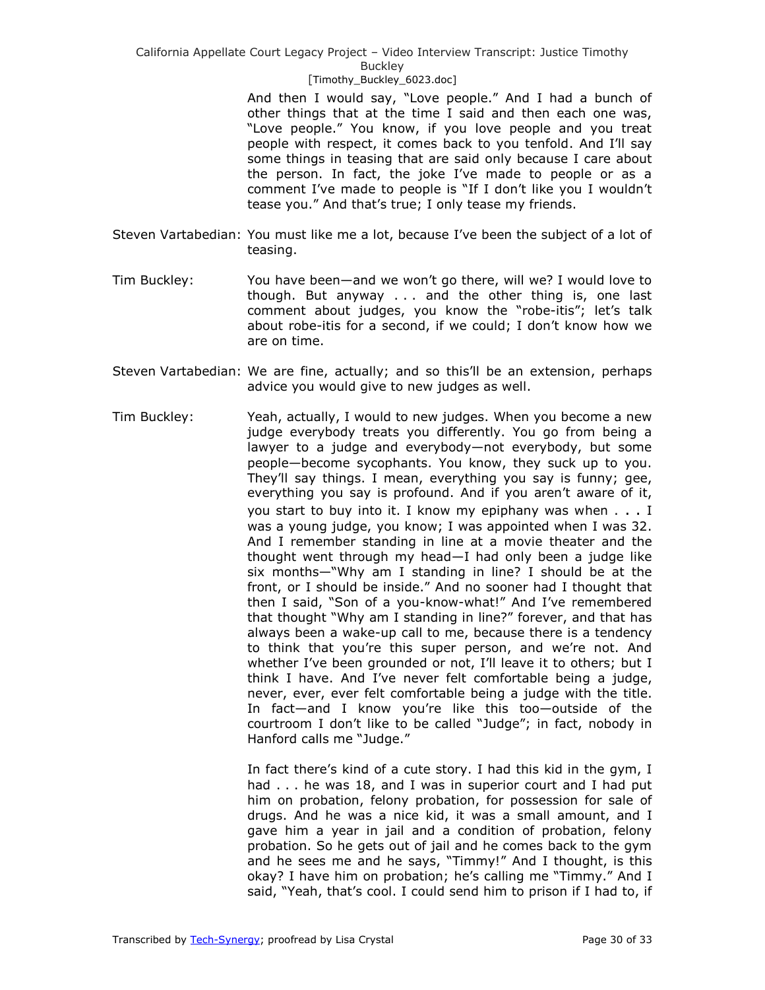#### [Timothy\_Buckley\_6023.doc]

And then I would say, "Love people." And I had a bunch of other things that at the time I said and then each one was, "Love people." You know, if you love people and you treat people with respect, it comes back to you tenfold. And I'll say some things in teasing that are said only because I care about the person. In fact, the joke I've made to people or as a comment I've made to people is "If I don't like you I wouldn't tease you." And that's true; I only tease my friends.

- Steven Vartabedian: You must like me a lot, because I've been the subject of a lot of teasing.
- Tim Buckley: You have been—and we won't go there, will we? I would love to though. But anyway . . . and the other thing is, one last comment about judges, you know the "robe-itis"; let's talk about robe-itis for a second, if we could; I don't know how we are on time.
- Steven Vartabedian: We are fine, actually; and so this'll be an extension, perhaps advice you would give to new judges as well.
- Tim Buckley: Yeah, actually, I would to new judges. When you become a new judge everybody treats you differently. You go from being a lawyer to a judge and everybody—not everybody, but some people—become sycophants. You know, they suck up to you. They'll say things. I mean, everything you say is funny; gee, everything you say is profound. And if you aren't aware of it, you start to buy into it. I know my epiphany was when . . . I was a young judge, you know; I was appointed when I was 32. And I remember standing in line at a movie theater and the thought went through my head—I had only been a judge like six months—"Why am I standing in line? I should be at the front, or I should be inside." And no sooner had I thought that then I said, "Son of a you-know-what!" And I've remembered that thought "Why am I standing in line?" forever, and that has always been a wake-up call to me, because there is a tendency to think that you're this super person, and we're not. And whether I've been grounded or not, I'll leave it to others; but I think I have. And I've never felt comfortable being a judge, never, ever, ever felt comfortable being a judge with the title. In fact—and I know you're like this too—outside of the courtroom I don't like to be called "Judge"; in fact, nobody in Hanford calls me "Judge."

In fact there's kind of a cute story. I had this kid in the gym, I had . . . he was 18, and I was in superior court and I had put him on probation, felony probation, for possession for sale of drugs. And he was a nice kid, it was a small amount, and I gave him a year in jail and a condition of probation, felony probation. So he gets out of jail and he comes back to the gym and he sees me and he says, "Timmy!" And I thought, is this okay? I have him on probation; he's calling me "Timmy." And I said, "Yeah, that's cool. I could send him to prison if I had to, if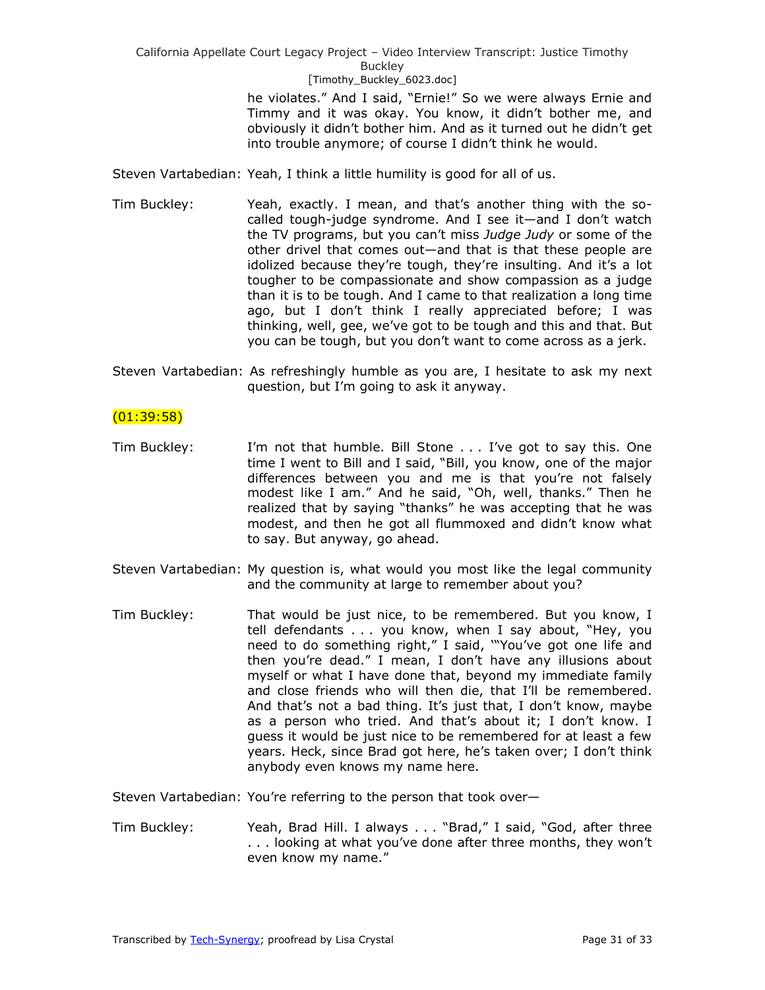> he violates." And I said, "Ernie!" So we were always Ernie and Timmy and it was okay. You know, it didn't bother me, and obviously it didn't bother him. And as it turned out he didn't get into trouble anymore; of course I didn't think he would.

Steven Vartabedian: Yeah, I think a little humility is good for all of us.

- Tim Buckley: Yeah, exactly. I mean, and that's another thing with the socalled tough-judge syndrome. And I see it—and I don't watch the TV programs, but you can't miss *Judge Judy* or some of the other drivel that comes out—and that is that these people are idolized because they're tough, they're insulting. And it's a lot tougher to be compassionate and show compassion as a judge than it is to be tough. And I came to that realization a long time ago, but I don't think I really appreciated before; I was thinking, well, gee, we've got to be tough and this and that. But you can be tough, but you don't want to come across as a jerk.
- Steven Vartabedian: As refreshingly humble as you are, I hesitate to ask my next question, but I'm going to ask it anyway.

## (01:39:58)

- Tim Buckley: I'm not that humble. Bill Stone . . . I've got to say this. One time I went to Bill and I said, "Bill, you know, one of the major differences between you and me is that you're not falsely modest like I am." And he said, "Oh, well, thanks." Then he realized that by saying "thanks" he was accepting that he was modest, and then he got all flummoxed and didn't know what to say. But anyway, go ahead.
- Steven Vartabedian: My question is, what would you most like the legal community and the community at large to remember about you?
- Tim Buckley: That would be just nice, to be remembered. But you know, I tell defendants  $\ldots$  you know, when I say about, "Hey, you need to do something right," I said, "You've got one life and then you're dead.‖ I mean, I don't have any illusions about myself or what I have done that, beyond my immediate family and close friends who will then die, that I'll be remembered. And that's not a bad thing. It's just that, I don't know, maybe as a person who tried. And that's about it; I don't know. I guess it would be just nice to be remembered for at least a few years. Heck, since Brad got here, he's taken over; I don't think anybody even knows my name here.

Steven Vartabedian: You're referring to the person that took over—

Tim Buckley: Yeah, Brad Hill. I always . . . "Brad," I said, "God, after three . . . looking at what you've done after three months, they won't even know my name."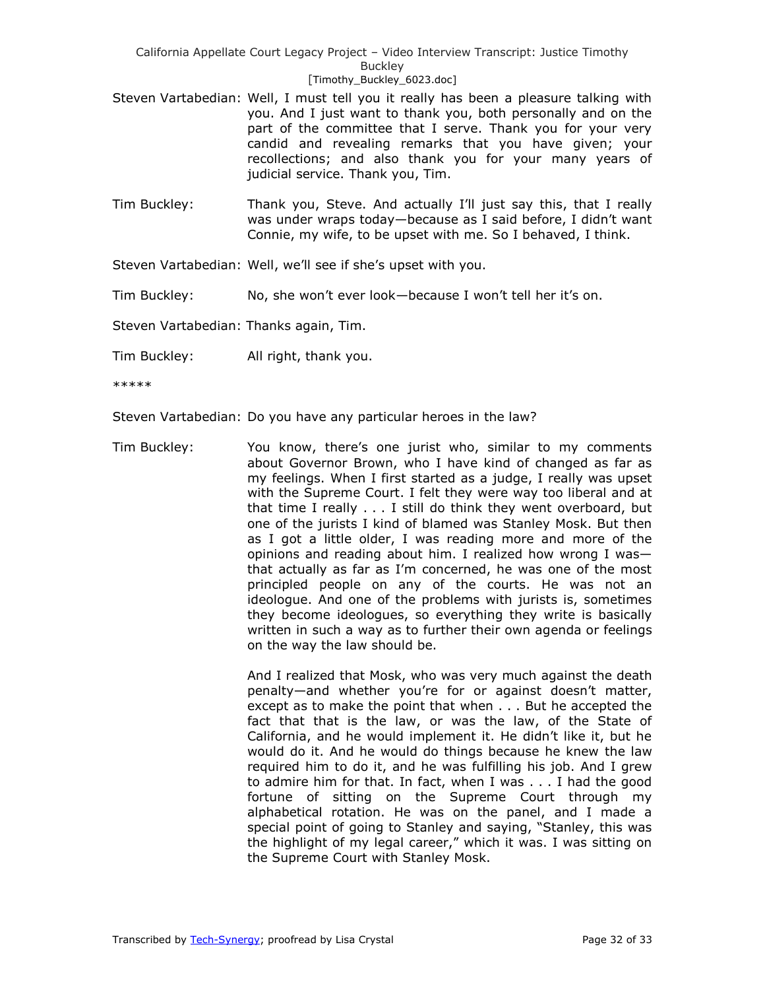- Steven Vartabedian: Well, I must tell you it really has been a pleasure talking with you. And I just want to thank you, both personally and on the part of the committee that I serve. Thank you for your very candid and revealing remarks that you have given; your recollections; and also thank you for your many years of judicial service. Thank you, Tim.
- Tim Buckley: Thank you, Steve. And actually I'll just say this, that I really was under wraps today—because as I said before, I didn't want Connie, my wife, to be upset with me. So I behaved, I think.

Steven Vartabedian: Well, we'll see if she's upset with you.

Tim Buckley: No, she won't ever look—because I won't tell her it's on.

Steven Vartabedian: Thanks again, Tim.

Tim Buckley: All right, thank you.

\*\*\*\*\*

Steven Vartabedian: Do you have any particular heroes in the law?

Tim Buckley: You know, there's one jurist who, similar to my comments about Governor Brown, who I have kind of changed as far as my feelings. When I first started as a judge, I really was upset with the Supreme Court. I felt they were way too liberal and at that time I really . . . I still do think they went overboard, but one of the jurists I kind of blamed was Stanley Mosk. But then as I got a little older, I was reading more and more of the opinions and reading about him. I realized how wrong I was that actually as far as I'm concerned, he was one of the most principled people on any of the courts. He was not an ideologue. And one of the problems with jurists is, sometimes they become ideologues, so everything they write is basically written in such a way as to further their own agenda or feelings on the way the law should be.

> And I realized that Mosk, who was very much against the death penalty—and whether you're for or against doesn't matter, except as to make the point that when . . . But he accepted the fact that that is the law, or was the law, of the State of California, and he would implement it. He didn't like it, but he would do it. And he would do things because he knew the law required him to do it, and he was fulfilling his job. And I grew to admire him for that. In fact, when I was . . . I had the good fortune of sitting on the Supreme Court through my alphabetical rotation. He was on the panel, and I made a special point of going to Stanley and saying, "Stanley, this was the highlight of my legal career," which it was. I was sitting on the Supreme Court with Stanley Mosk.